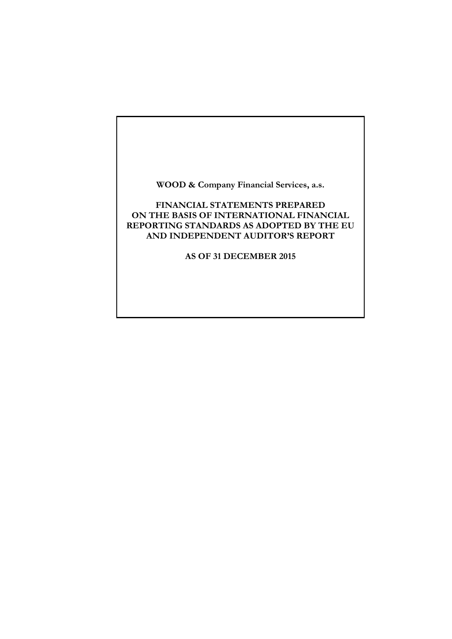**WOOD & Company Financial Services, a.s.**

#### **FINANCIAL STATEMENTS PREPARED ON THE BASIS OF INTERNATIONAL FINANCIAL REPORTING STANDARDS AS ADOPTED BY THE EU AND INDEPENDENT AUDITOR'S REPORT**

#### **AS OF 31 DECEMBER 2015**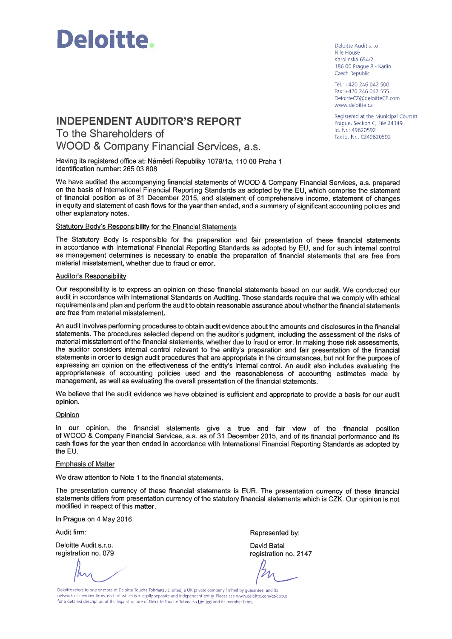# Deloitte.

## **INDEPENDENT AUDITOR'S REPORT** To the Shareholders of **WOOD & Company Financial Services, a.s.**

Having its registered office at: Náměstí Republiky 1079/1a, 110 00 Praha 1 Identification number: 265 03 808

We have audited the accompanying financial statements of WOOD & Company Financial Services, a.s. prepared on the basis of International Financial Reporting Standards as adopted by the EU, which comprise the statement of financial position as of 31 December 2015, and statement of comprehensive income, statement of changes in equity and statement of cash flows for the year then ended, and a summary of significant accounting policies and other explanatory notes.

#### Statutory Body's Responsibility for the Financial Statements

The Statutory Body is responsible for the preparation and fair presentation of these financial statements in accordance with International Financial Reporting Standards as adopted by EU, and for such internal control as management determines is necessary to enable the preparation of financial statements that are free from material misstatement, whether due to fraud or error.

#### **Auditor's Responsibility**

Our responsibility is to express an opinion on these financial statements based on our audit. We conducted our audit in accordance with International Standards on Auditing. Those standards require that we comply with ethical requirements and plan and perform the audit to obtain reasonable assurance about whether the financial statements are free from material misstatement.

An audit involves performing procedures to obtain audit evidence about the amounts and disclosures in the financial statements. The procedures selected depend on the auditor's judgment, including the assessment of the risks of material misstatement of the financial statements, whether due to fraud or error. In making those risk assessments, the auditor considers internal control relevant to the entity's preparation and fair presentation of the financial statements in order to design audit procedures that are appropriate in the circumstances, but not for the purpose of expressing an opinion on the effectiveness of the entity's internal control. An audit also includes evaluating the appropriateness of accounting policies used and the reasonableness of accounting estimates made by management, as well as evaluating the overall presentation of the financial statements.

We believe that the audit evidence we have obtained is sufficient and appropriate to provide a basis for our audit opinion.

#### Opinion

In our opinion, the financial statements give a true and fair view of the financial position of WOOD & Company Financial Services, a.s. as of 31 December 2015, and of its financial performance and its cash flows for the year then ended in accordance with International Financial Reporting Standards as adopted by the EU.

#### **Emphasis of Matter**

We draw attention to Note 1 to the financial statements.

The presentation currency of these financial statements is EUR. The presentation currency of these financial statements differs from presentation currency of the statutory financial statements which is CZK. Our opinion is not modified in respect of this matter.

In Prague on 4 May 2016

Audit firm:

Deloitte Audit s.r.o. registration no. 079

Represented by:

David Batal registration no. 2147

Deloitte refers to one or more of Deloitte Touche Tohmatsu Limited, a UK private company limited by guarantee, and its network of member firms, each of which is a legally separate and independent entity. Please see www.deloitte.com/cz/about for a detailed description of the legal structure of Deloitte Touche Tohmatsu Limited and its member firms.

Deloitte Audit sino Nile House Karolinská 654/2 186 00 Prague 8 - Karlín Czech Republic

Tel: +420, 246, 042, 500 Fax: +420 246 042 555 DeloitteCZ@deloitteCE.com www.deloitte.cz

Reaistered at the Municipal Court in Prague, Section C, File 24349 Id. Nr.: 49620592 Tax Id. Nr.: CZ49620592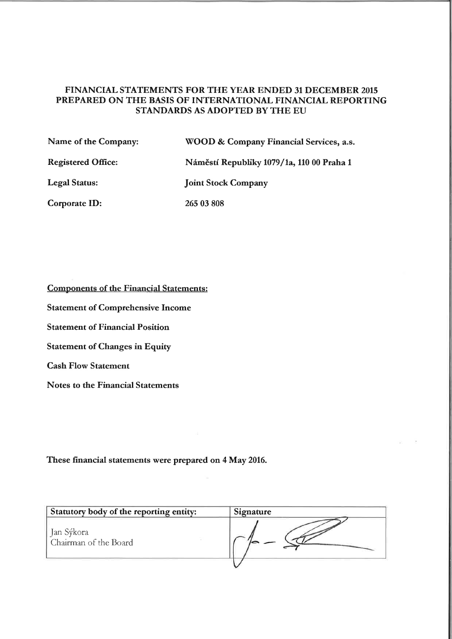#### FINANCIAL STATEMENTS FOR THE YEAR ENDED 31 DECEMBER 2015 PREPARED ON THE BASIS OF INTERNATIONAL FINANCIAL REPORTING STANDARDS AS ADOPTED BY THE EU

| Name of the Company:      | WOOD & Company Financial Services, a.s.   |
|---------------------------|-------------------------------------------|
| <b>Registered Office:</b> | Náměstí Republiky 1079/1a, 110 00 Praha 1 |
| <b>Legal Status:</b>      | <b>Joint Stock Company</b>                |
| Corporate ID:             | 265 03 808                                |

**Components of the Financial Statements:** 

**Statement of Comprehensive Income** 

**Statement of Financial Position** 

**Statement of Changes in Equity** 

**Cash Flow Statement** 

**Notes to the Financial Statements** 

These financial statements were prepared on 4 May 2016.

| Statutory body of the reporting entity: | Signature |
|-----------------------------------------|-----------|
| Jan Sýkora<br>Chairman of the Board     |           |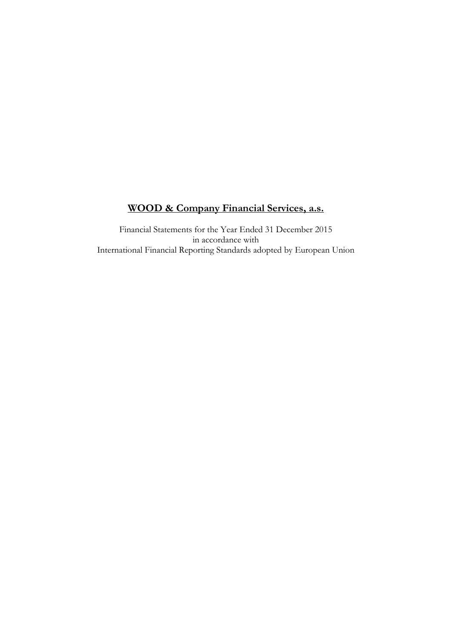# **WOOD & Company Financial Services, a.s.**

Financial Statements for the Year Ended 31 December 2015 in accordance with International Financial Reporting Standards adopted by European Union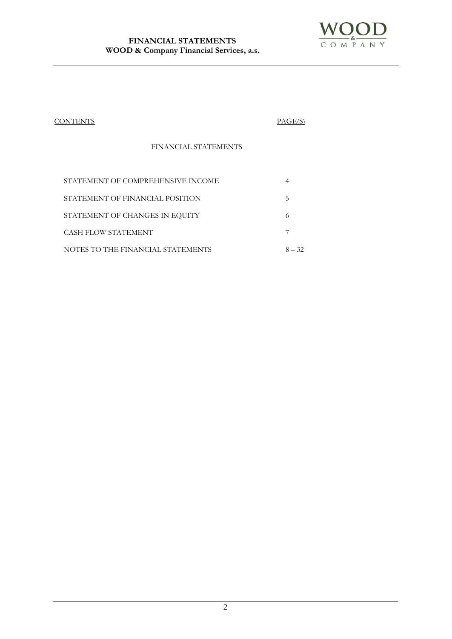

# CONTENTS PAGE(S)

FINANCIAL STATEMENTS

| STATEMENT OF COMPREHENSIVE INCOME |          |
|-----------------------------------|----------|
| STATEMENT OF FINANCIAL POSITION   | 5        |
| STATEMENT OF CHANGES IN EQUITY    |          |
| CASH FLOW STATEMENT               |          |
| NOTES TO THE FINANCIAL STATEMENTS | $8 - 32$ |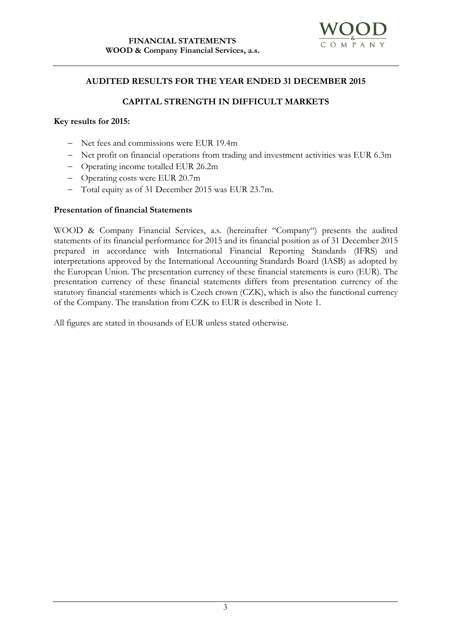

#### **AUDITED RESULTS FOR THE YEAR ENDED 31 DECEMBER 2015**

### **CAPITAL STRENGTH IN DIFFICULT MARKETS**

#### **Key results for 2015:**

- Net fees and commissions were EUR 19.4m
- Net profit on financial operations from trading and investment activities was EUR 6.3m
- Operating income totalled EUR 26.2m
- Operating costs were EUR 20.7m
- Total equity as of 31 December 2015 was EUR 23.7m.

#### **Presentation of financial Statements**

WOOD & Company Financial Services, a.s. (hereinafter "Company") presents the audited statements of its financial performance for 2015 and its financial position as of 31 December 2015 prepared in accordance with International Financial Reporting Standards (IFRS) and interpretations approved by the International Accounting Standards Board (IASB) as adopted by the European Union. The presentation currency of these financial statements is euro (EUR). The presentation currency of these financial statements differs from presentation currency of the statutory financial statements which is Czech crown (CZK), which is also the functional currency of the Company. The translation from CZK to EUR is described in Note 1.

All figures are stated in thousands of EUR unless stated otherwise.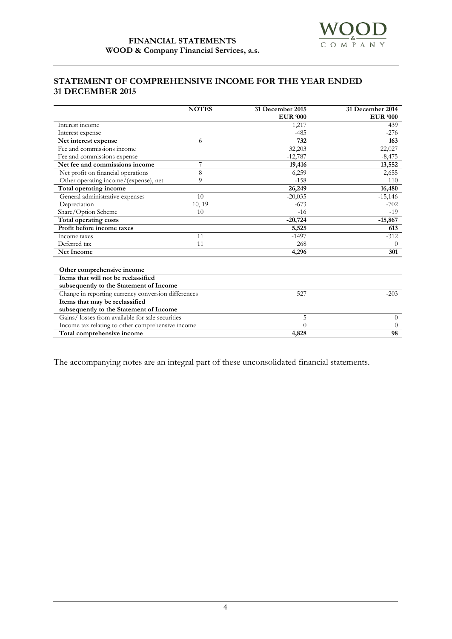

#### **STATEMENT OF COMPREHENSIVE INCOME FOR THE YEAR ENDED 31 DECEMBER 2015**

|                                                     | <b>NOTES</b> | 31 December 2015 | 31 December 2014 |
|-----------------------------------------------------|--------------|------------------|------------------|
|                                                     |              | <b>EUR '000</b>  | <b>EUR '000</b>  |
| Interest income                                     |              | 1,217            | 439              |
| Interest expense                                    |              | $-485$           | $-276$           |
| Net interest expense                                | 6            | 732              | 163              |
| Fee and commissions income                          |              | 32,203           | 22,027           |
| Fee and commissions expense                         |              | $-12,787$        | $-8,475$         |
| Net fee and commissions income                      | 7            | 19,416           | 13,552           |
| Net profit on financial operations                  | 8            | 6,259            | 2,655            |
| Other operating income/(expense), net               | 9            | $-158$           | 110              |
| Total operating income                              |              | 26,249           | 16,480           |
| General administrative expenses                     | 10           | $-20,035$        | $-15,146$        |
| Depreciation                                        | 10, 19       | $-673$           | $-702$           |
| Share/Option Scheme                                 | 10           | $-16$            | $-19$            |
| Total operating costs                               |              | $-20,724$        | $-15,867$        |
| Profit before income taxes                          |              | 5,525            | 613              |
| Income taxes                                        | 11           | $-1497$          | $-312$           |
| Deferred tax                                        | 11           | 268              | $\Omega$         |
| Net Income                                          |              | 4,296            | 301              |
|                                                     |              |                  |                  |
| Other comprehensive income                          |              |                  |                  |
| Items that will not be reclassified                 |              |                  |                  |
| subsequently to the Statement of Income             |              |                  |                  |
| Change in reporting currency conversion differences |              | 527              | $-203$           |
| Items that may be reclassified                      |              |                  |                  |
| subsequently to the Statement of Income             |              |                  |                  |
| Gains/ losses from available for sale securities    |              | 5                | $\Omega$         |
| Income tax relating to other comprehensive income   |              | 0                | $\Omega$         |
| Total comprehensive income                          |              | 4,828            | 98               |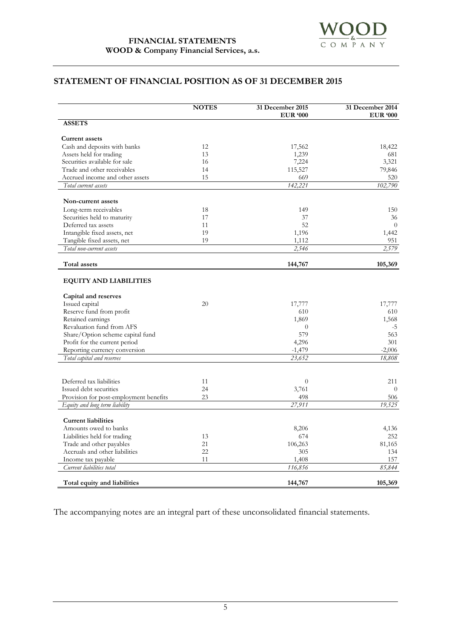

# **STATEMENT OF FINANCIAL POSITION AS OF 31 DECEMBER 2015**

|                                                                         | <b>NOTES</b> | 31 December 2015<br><b>EUR '000</b> | 31 December 2014<br><b>EUR</b> '000 |
|-------------------------------------------------------------------------|--------------|-------------------------------------|-------------------------------------|
| <b>ASSETS</b>                                                           |              |                                     |                                     |
| <b>Current assets</b>                                                   |              |                                     |                                     |
| Cash and deposits with banks                                            | 12           | 17,562                              | 18,422                              |
| Assets held for trading                                                 | 13           | 1,239                               | 681                                 |
| Securities available for sale                                           | 16           | 7,224                               | 3,321                               |
| Trade and other receivables                                             | 14           | 115,527                             | 79,846                              |
| Accrued income and other assets                                         | 15           | 669                                 | 520                                 |
| Total current assets                                                    |              | 142,221                             | 102,790                             |
| Non-current assets                                                      |              |                                     |                                     |
| Long-term receivables                                                   | 18           | 149                                 | 150                                 |
| Securities held to maturity                                             | 17           | 37                                  | 36                                  |
| Deferred tax assets                                                     | 11           | 52                                  | $\theta$                            |
| Intangible fixed assets, net                                            | 19           | 1,196                               | 1,442                               |
| Tangible fixed assets, net                                              | 19           | 1,112                               | 951                                 |
| Total non-current assets                                                |              | 2,546                               | 2,579                               |
| Total assets                                                            |              | 144,767                             | 105,369                             |
| <b>EQUITY AND LIABILITIES</b><br>Capital and reserves<br>Issued capital | 20           | 17,777                              | 17,777                              |
| Reserve fund from profit                                                |              | 610                                 | 610                                 |
| Retained earnings                                                       |              | 1,869                               | 1,568                               |
| Revaluation fund from AFS                                               |              | $\theta$                            | $-5$                                |
| Share/Option scheme capital fund                                        |              | 579                                 | 563                                 |
| Profit for the current period                                           |              | 4,296                               | 301                                 |
| Reporting currency conversion                                           |              | $-1,479$                            | $-2,006$                            |
| Total capital and reserves                                              |              | 23,652                              | 18,808                              |
|                                                                         |              |                                     |                                     |
| Deferred tax liabilities                                                | 11           | $\overline{0}$                      | 211                                 |
| Issued debt securities                                                  | 24           | 3,761                               | $\theta$                            |
| Provision for post-employment benefits                                  | 23           | 498                                 | 506                                 |
| Equity and long term liability                                          |              | 27.911                              | 19.525                              |
| <b>Current liabilities</b>                                              |              |                                     |                                     |
| Amounts owed to banks                                                   |              | 8,206                               | 4,136                               |
| Liabilities held for trading                                            | 13           | 674                                 | 252                                 |
| Trade and other payables                                                | 21           | 106,263                             | 81,165                              |
| Accruals and other liabilities                                          | 22           | 305                                 | 134                                 |
| Income tax payable                                                      | 11           | 1,408                               | 157                                 |
| Current liabilities total                                               |              | 116,856                             | 85,844                              |
| Total equity and liabilities                                            |              | 144,767                             | 105,369                             |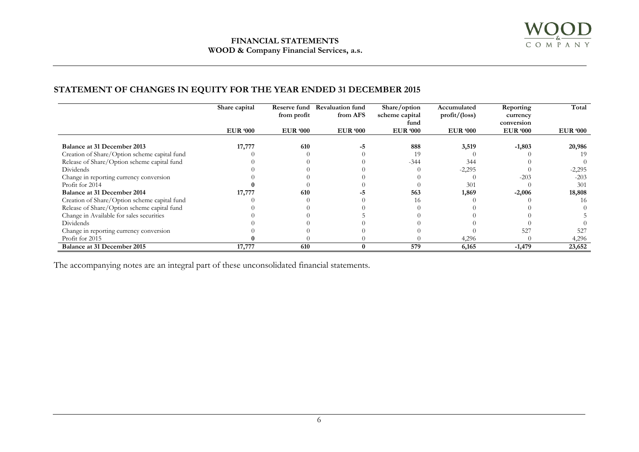

### **STATEMENT OF CHANGES IN EQUITY FOR THE YEAR ENDED 31 DECEMBER 2015**

|                                              | Share capital   | Reserve fund    | <b>Revaluation fund</b> | Share/option    | Accumulated      | Reporting       | Total           |
|----------------------------------------------|-----------------|-----------------|-------------------------|-----------------|------------------|-----------------|-----------------|
|                                              |                 | from profit     | from AFS                | scheme capital  | $profit/$ (loss) | currency        |                 |
|                                              |                 |                 |                         | fund            |                  | conversion      |                 |
|                                              | <b>EUR '000</b> | <b>EUR '000</b> | <b>EUR '000</b>         | <b>EUR '000</b> | <b>EUR '000</b>  | <b>EUR '000</b> | <b>EUR '000</b> |
| Balance at 31 December 2013                  | 17,777          | 610             | -5                      | 888             | 3,519            | $-1,803$        | 20,986          |
| Creation of Share/Option scheme capital fund |                 |                 |                         | 19              |                  |                 | 19              |
| Release of Share/Option scheme capital fund  |                 |                 |                         | $-344$          | 344              |                 |                 |
| Dividends                                    |                 |                 |                         |                 | $-2,295$         |                 | $-2,295$        |
| Change in reporting currency conversion      |                 |                 |                         |                 |                  | $-203$          | $-203$          |
| Profit for 2014                              |                 |                 |                         |                 | 301              |                 | 301             |
| Balance at 31 December 2014                  | 17,777          | 610             |                         | 563             | 1,869            | $-2,006$        | 18,808          |
| Creation of Share/Option scheme capital fund |                 |                 |                         | 16              |                  |                 | 16              |
| Release of Share/Option scheme capital fund  |                 |                 |                         |                 |                  |                 |                 |
| Change in Available for sales securities     |                 |                 |                         |                 |                  |                 |                 |
| Dividends                                    |                 |                 |                         |                 |                  |                 |                 |
| Change in reporting currency conversion      |                 |                 |                         |                 |                  | 527             | 527             |
| Profit for 2015                              |                 |                 |                         |                 | 4,296            | $\Omega$        | 4,296           |
| Balance at 31 December 2015                  | 17,777          | 610             |                         | 579             | 6,165            | $-1,479$        | 23,652          |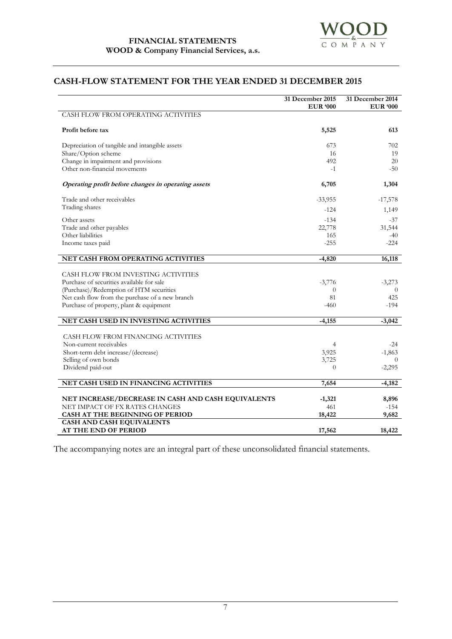#### **FINANCIAL STATEMENTS WOOD & Company Financial Services, a.s.**



#### **CASH-FLOW STATEMENT FOR THE YEAR ENDED 31 DECEMBER 2015**

|                                                     | 31 December 2015<br><b>EUR '000</b> | 31 December 2014<br><b>EUR '000</b> |
|-----------------------------------------------------|-------------------------------------|-------------------------------------|
| CASH FLOW FROM OPERATING ACTIVITIES                 |                                     |                                     |
| Profit before tax                                   | 5,525                               | 613                                 |
| Depreciation of tangible and intangible assets      | 673                                 | 702                                 |
| Share/Option scheme                                 | 16                                  | 19                                  |
| Change in impairment and provisions                 | 492                                 | 20                                  |
| Other non-financial movements                       | $-1$                                | $-50$                               |
| Operating profit before changes in operating assets | 6,705                               | 1,304                               |
| Trade and other receivables                         | $-33,955$                           | $-17,578$                           |
| Trading shares                                      | $-124$                              | 1,149                               |
| Other assets                                        | $-134$                              | $-37$                               |
| Trade and other payables                            | 22,778                              | 31,544                              |
| Other liabilities                                   | 165                                 | $-40$                               |
| Income taxes paid                                   | $-255$                              | $-224$                              |
| NET CASH FROM OPERATING ACTIVITIES                  | $-4,820$                            | 16,118                              |
|                                                     |                                     |                                     |
| CASH FLOW FROM INVESTING ACTIVITIES                 |                                     |                                     |
| Purchase of securities available for sale           | $-3,776$                            | $-3,273$                            |
| (Purchase)/Redemption of HTM securities             | $\overline{0}$                      | $\theta$                            |
| Net cash flow from the purchase of a new branch     | 81                                  | 425                                 |
| Purchase of property, plant & equipment             | $-460$                              | $-194$                              |
| NET CASH USED IN INVESTING ACTIVITIES               | $-4,155$                            | $-3,042$                            |
| CASH FLOW FROM FINANCING ACTIVITIES                 |                                     |                                     |
| Non-current receivables                             | 4                                   | $-24$                               |
| Short-term debt increase/(decrease)                 | 3,925                               | $-1,863$                            |
| Selling of own bonds                                | 3,725                               | $\theta$                            |
| Dividend paid-out                                   | $\theta$                            | $-2,295$                            |
|                                                     |                                     |                                     |
| NET CASH USED IN FINANCING ACTIVITIES               | 7,654                               | $-4,182$                            |
| NET INCREASE/DECREASE IN CASH AND CASH EQUIVALENTS  | $-1,321$                            | 8,896                               |
| NET IMPACT OF FX RATES CHANGES                      | 461                                 | $-154$                              |
| CASH AT THE BEGINNING OF PERIOD                     | 18,422                              | 9,682                               |
| CASH AND CASH EQUIVALENTS                           |                                     |                                     |
| <b>AT THE END OF PERIOD</b>                         | 17,562                              | 18,422                              |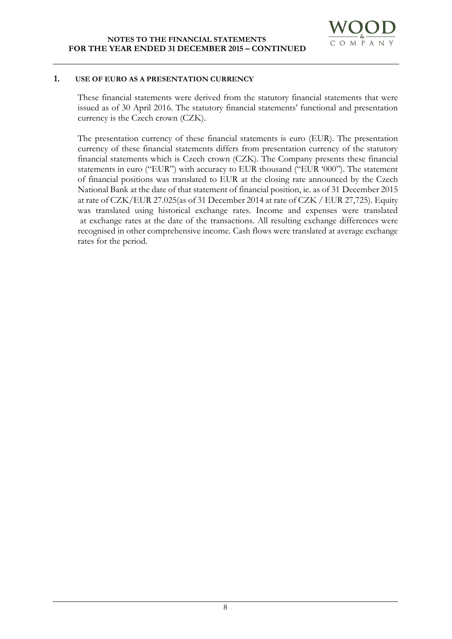

#### **1. USE OF EURO AS A PRESENTATION CURRENCY**

These financial statements were derived from the statutory financial statements that were issued as of 30 April 2016. The statutory financial statements' functional and presentation currency is the Czech crown (CZK).

The presentation currency of these financial statements is euro (EUR). The presentation currency of these financial statements differs from presentation currency of the statutory financial statements which is Czech crown (CZK). The Company presents these financial statements in euro ("EUR") with accuracy to EUR thousand ("EUR '000"). The statement of financial positions was translated to EUR at the closing rate announced by the Czech National Bank at the date of that statement of financial position, ie. as of 31 December 2015 at rate of CZK/EUR 27.025(as of 31 December 2014 at rate of CZK / EUR 27,725). Equity was translated using historical exchange rates. Income and expenses were translated at exchange rates at the date of the transactions. All resulting exchange differences were recognised in other comprehensive income. Cash flows were translated at average exchange rates for the period.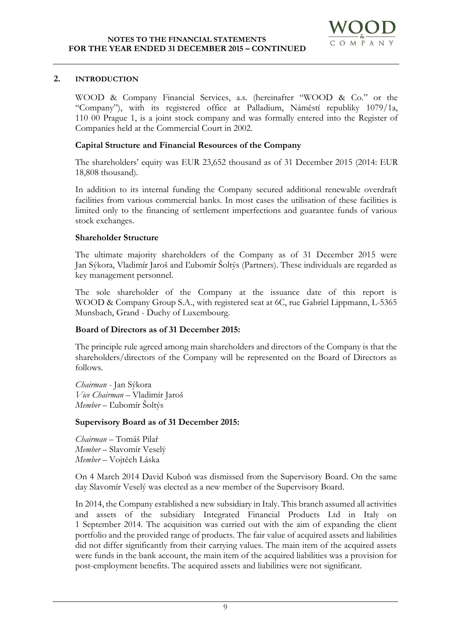

#### **2. INTRODUCTION**

WOOD & Company Financial Services, a.s. (hereinafter "WOOD & Co." or the "Company"), with its registered office at Palladium, Náměstí republiky 1079/1a, 110 00 Prague 1, is a joint stock company and was formally entered into the Register of Companies held at the Commercial Court in 2002.

#### **Capital Structure and Financial Resources of the Company**

The shareholders' equity was EUR 23,652 thousand as of 31 December 2015 (2014: EUR 18,808 thousand).

In addition to its internal funding the Company secured additional renewable overdraft facilities from various commercial banks. In most cases the utilisation of these facilities is limited only to the financing of settlement imperfections and guarantee funds of various stock exchanges.

#### **Shareholder Structure**

The ultimate majority shareholders of the Company as of 31 December 2015 were Jan Sýkora, Vladimír Jaroš and Ľubomír Šoltýs (Partners). These individuals are regarded as key management personnel.

The sole shareholder of the Company at the issuance date of this report is WOOD & Company Group S.A., with registered seat at 6C, rue Gabriel Lippmann, L-5365 Munsbach, Grand - Duchy of Luxembourg.

#### **Board of Directors as of 31 December 2015:**

The principle rule agreed among main shareholders and directors of the Company is that the shareholders/directors of the Company will be represented on the Board of Directors as follows.

*Chairman* - Jan Sýkora *Vice Chairman* – Vladimír Jaroš *Member* – Ľubomír Šoltýs

#### **Supervisory Board as of 31 December 2015:**

*Chairman* – Tomáš Pilař *Member* – Slavomír Veselý *Member* – Vojtěch Láska

On 4 March 2014 David Kuboň was dismissed from the Supervisory Board. On the same day Slavomír Veselý was elected as a new member of the Supervisory Board.

In 2014, the Company established a new subsidiary in Italy. This branch assumed all activities and assets of the subsidiary Integrated Financial Products Ltd in Italy on 1 September 2014. The acquisition was carried out with the aim of expanding the client portfolio and the provided range of products. The fair value of acquired assets and liabilities did not differ significantly from their carrying values. The main item of the acquired assets were funds in the bank account, the main item of the acquired liabilities was a provision for post-employment benefits. The acquired assets and liabilities were not significant.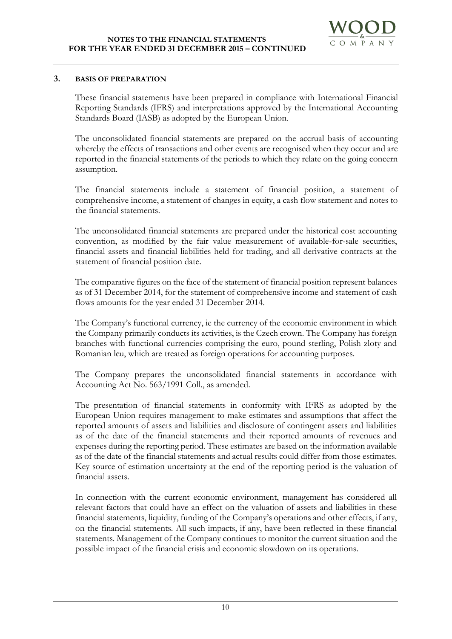

#### **3. BASIS OF PREPARATION**

These financial statements have been prepared in compliance with International Financial Reporting Standards (IFRS) and interpretations approved by the International Accounting Standards Board (IASB) as adopted by the European Union.

The unconsolidated financial statements are prepared on the accrual basis of accounting whereby the effects of transactions and other events are recognised when they occur and are reported in the financial statements of the periods to which they relate on the going concern assumption.

The financial statements include a statement of financial position, a statement of comprehensive income, a statement of changes in equity, a cash flow statement and notes to the financial statements.

The unconsolidated financial statements are prepared under the historical cost accounting convention, as modified by the fair value measurement of available-for-sale securities, financial assets and financial liabilities held for trading, and all derivative contracts at the statement of financial position date.

The comparative figures on the face of the statement of financial position represent balances as of 31 December 2014, for the statement of comprehensive income and statement of cash flows amounts for the year ended 31 December 2014.

The Company's functional currency, ie the currency of the economic environment in which the Company primarily conducts its activities, is the Czech crown. The Company has foreign branches with functional currencies comprising the euro, pound sterling, Polish zloty and Romanian leu, which are treated as foreign operations for accounting purposes.

The Company prepares the unconsolidated financial statements in accordance with Accounting Act No. 563/1991 Coll., as amended.

The presentation of financial statements in conformity with IFRS as adopted by the European Union requires management to make estimates and assumptions that affect the reported amounts of assets and liabilities and disclosure of contingent assets and liabilities as of the date of the financial statements and their reported amounts of revenues and expenses during the reporting period. These estimates are based on the information available as of the date of the financial statements and actual results could differ from those estimates. Key source of estimation uncertainty at the end of the reporting period is the valuation of financial assets.

In connection with the current economic environment, management has considered all relevant factors that could have an effect on the valuation of assets and liabilities in these financial statements, liquidity, funding of the Company's operations and other effects, if any, on the financial statements. All such impacts, if any, have been reflected in these financial statements. Management of the Company continues to monitor the current situation and the possible impact of the financial crisis and economic slowdown on its operations.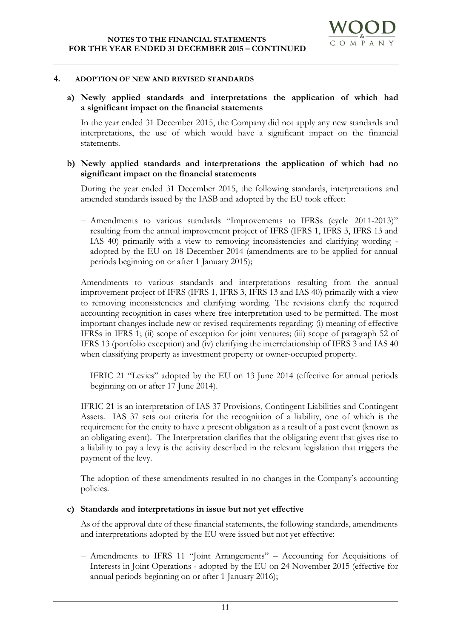

#### **4. ADOPTION OF NEW AND REVISED STANDARDS**

**a) Newly applied standards and interpretations the application of which had a significant impact on the financial statements**

In the year ended 31 December 2015, the Company did not apply any new standards and interpretations, the use of which would have a significant impact on the financial statements.

**b) Newly applied standards and interpretations the application of which had no significant impact on the financial statements** 

During the year ended 31 December 2015, the following standards, interpretations and amended standards issued by the IASB and adopted by the EU took effect:

- Amendments to various standards "Improvements to IFRSs (cycle 2011-2013)" resulting from the annual improvement project of IFRS (IFRS 1, IFRS 3, IFRS 13 and IAS 40) primarily with a view to removing inconsistencies and clarifying wording adopted by the EU on 18 December 2014 (amendments are to be applied for annual periods beginning on or after 1 January 2015);

Amendments to various standards and interpretations resulting from the annual improvement project of IFRS (IFRS 1, IFRS 3, IFRS 13 and IAS 40) primarily with a view to removing inconsistencies and clarifying wording. The revisions clarify the required accounting recognition in cases where free interpretation used to be permitted. The most important changes include new or revised requirements regarding: (i) meaning of effective IFRSs in IFRS 1; (ii) scope of exception for joint ventures; (iii) scope of paragraph 52 of IFRS 13 (portfolio exception) and (iv) clarifying the interrelationship of IFRS 3 and IAS 40 when classifying property as investment property or owner-occupied property.

 IFRIC 21 "Levies" adopted by the EU on 13 June 2014 (effective for annual periods beginning on or after 17 June 2014).

IFRIC 21 is an interpretation of IAS 37 Provisions, Contingent Liabilities and Contingent Assets. IAS 37 sets out criteria for the recognition of a liability, one of which is the requirement for the entity to have a present obligation as a result of a past event (known as an obligating event). The Interpretation clarifies that the obligating event that gives rise to a liability to pay a levy is the activity described in the relevant legislation that triggers the payment of the levy.

The adoption of these amendments resulted in no changes in the Company's accounting policies.

#### **c) Standards and interpretations in issue but not yet effective**

As of the approval date of these financial statements, the following standards, amendments and interpretations adopted by the EU were issued but not yet effective:

 Amendments to IFRS 11 "Joint Arrangements" – Accounting for Acquisitions of Interests in Joint Operations - adopted by the EU on 24 November 2015 (effective for annual periods beginning on or after 1 January 2016);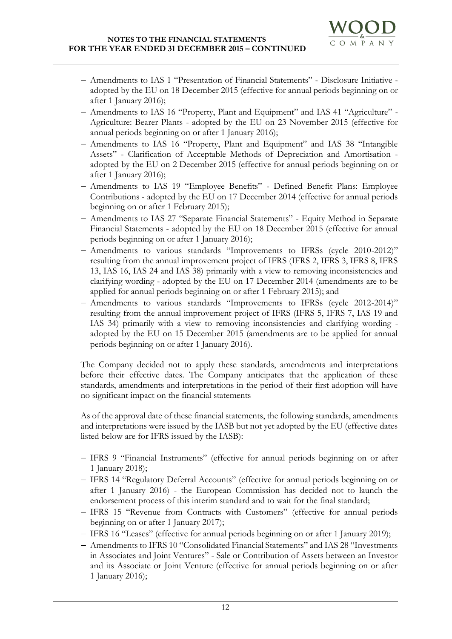- Amendments to IAS 1 "Presentation of Financial Statements" Disclosure Initiative adopted by the EU on 18 December 2015 (effective for annual periods beginning on or after 1 January 2016);
- Amendments to IAS 16 "Property, Plant and Equipment" and IAS 41 "Agriculture" -Agriculture: Bearer Plants - adopted by the EU on 23 November 2015 (effective for annual periods beginning on or after 1 January 2016);
- Amendments to IAS 16 "Property, Plant and Equipment" and IAS 38 "Intangible Assets" - Clarification of Acceptable Methods of Depreciation and Amortisation adopted by the EU on 2 December 2015 (effective for annual periods beginning on or after 1 January 2016);
- Amendments to IAS 19 "Employee Benefits" Defined Benefit Plans: Employee Contributions - adopted by the EU on 17 December 2014 (effective for annual periods beginning on or after 1 February 2015);
- Amendments to IAS 27 "Separate Financial Statements" Equity Method in Separate Financial Statements - adopted by the EU on 18 December 2015 (effective for annual periods beginning on or after 1 January 2016);
- Amendments to various standards "Improvements to IFRSs (cycle 2010-2012)" resulting from the annual improvement project of IFRS (IFRS 2, IFRS 3, IFRS 8, IFRS 13, IAS 16, IAS 24 and IAS 38) primarily with a view to removing inconsistencies and clarifying wording - adopted by the EU on 17 December 2014 (amendments are to be applied for annual periods beginning on or after 1 February 2015); and
- Amendments to various standards "Improvements to IFRSs (cycle 2012-2014)" resulting from the annual improvement project of IFRS (IFRS 5, IFRS 7, IAS 19 and IAS 34) primarily with a view to removing inconsistencies and clarifying wording adopted by the EU on 15 December 2015 (amendments are to be applied for annual periods beginning on or after 1 January 2016).

The Company decided not to apply these standards, amendments and interpretations before their effective dates. The Company anticipates that the application of these standards, amendments and interpretations in the period of their first adoption will have no significant impact on the financial statements

As of the approval date of these financial statements, the following standards, amendments and interpretations were issued by the IASB but not yet adopted by the EU (effective dates listed below are for IFRS issued by the IASB):

- IFRS 9 "Financial Instruments" (effective for annual periods beginning on or after 1 January 2018);
- IFRS 14 "Regulatory Deferral Accounts" (effective for annual periods beginning on or after 1 January 2016) - the European Commission has decided not to launch the endorsement process of this interim standard and to wait for the final standard;
- IFRS 15 "Revenue from Contracts with Customers" (effective for annual periods beginning on or after 1 January 2017);
- IFRS 16 "Leases" (effective for annual periods beginning on or after 1 January 2019);
- Amendments to IFRS 10 "Consolidated Financial Statements" and IAS 28 "Investments in Associates and Joint Ventures" - Sale or Contribution of Assets between an Investor and its Associate or Joint Venture (effective for annual periods beginning on or after 1 January 2016);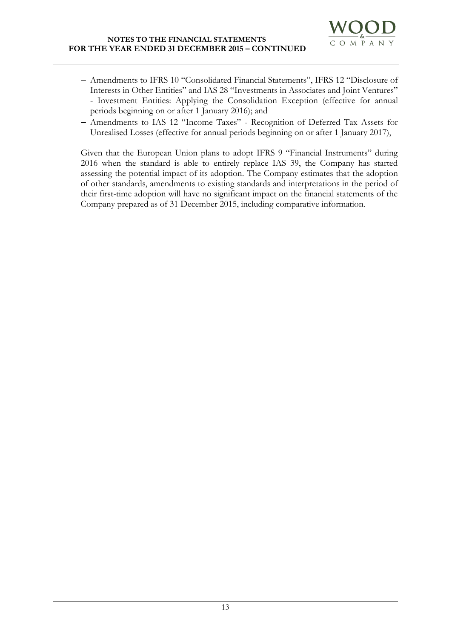

- Amendments to IFRS 10 "Consolidated Financial Statements", IFRS 12 "Disclosure of Interests in Other Entities" and IAS 28 "Investments in Associates and Joint Ventures" - Investment Entities: Applying the Consolidation Exception (effective for annual periods beginning on or after 1 January 2016); and
- Amendments to IAS 12 "Income Taxes" Recognition of Deferred Tax Assets for Unrealised Losses (effective for annual periods beginning on or after 1 January 2017),

Given that the European Union plans to adopt IFRS 9 "Financial Instruments" during 2016 when the standard is able to entirely replace IAS 39, the Company has started assessing the potential impact of its adoption. The Company estimates that the adoption of other standards, amendments to existing standards and interpretations in the period of their first-time adoption will have no significant impact on the financial statements of the Company prepared as of 31 December 2015, including comparative information.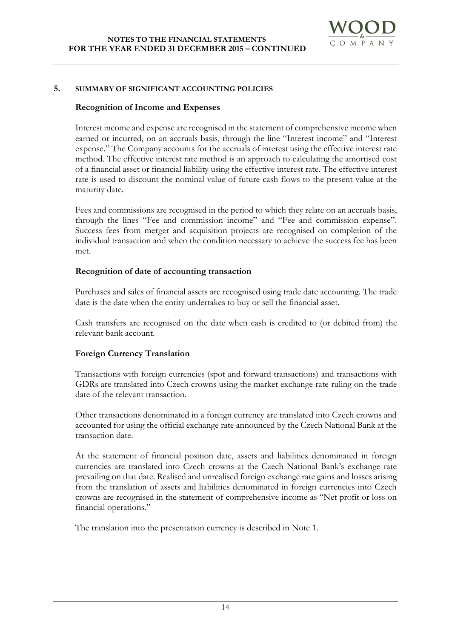

#### **5. SUMMARY OF SIGNIFICANT ACCOUNTING POLICIES**

#### **Recognition of Income and Expenses**

Interest income and expense are recognised in the statement of comprehensive income when earned or incurred, on an accruals basis, through the line "Interest income" and "Interest expense." The Company accounts for the accruals of interest using the effective interest rate method. The effective interest rate method is an approach to calculating the amortised cost of a financial asset or financial liability using the effective interest rate. The effective interest rate is used to discount the nominal value of future cash flows to the present value at the maturity date.

Fees and commissions are recognised in the period to which they relate on an accruals basis, through the lines "Fee and commission income" and "Fee and commission expense". Success fees from merger and acquisition projects are recognised on completion of the individual transaction and when the condition necessary to achieve the success fee has been met.

#### **Recognition of date of accounting transaction**

Purchases and sales of financial assets are recognised using trade date accounting. The trade date is the date when the entity undertakes to buy or sell the financial asset.

Cash transfers are recognised on the date when cash is credited to (or debited from) the relevant bank account.

#### **Foreign Currency Translation**

Transactions with foreign currencies (spot and forward transactions) and transactions with GDRs are translated into Czech crowns using the market exchange rate ruling on the trade date of the relevant transaction.

Other transactions denominated in a foreign currency are translated into Czech crowns and accounted for using the official exchange rate announced by the Czech National Bank at the transaction date.

At the statement of financial position date, assets and liabilities denominated in foreign currencies are translated into Czech crowns at the Czech National Bank's exchange rate prevailing on that date. Realised and unrealised foreign exchange rate gains and losses arising from the translation of assets and liabilities denominated in foreign currencies into Czech crowns are recognised in the statement of comprehensive income as "Net profit or loss on financial operations."

The translation into the presentation currency is described in Note 1.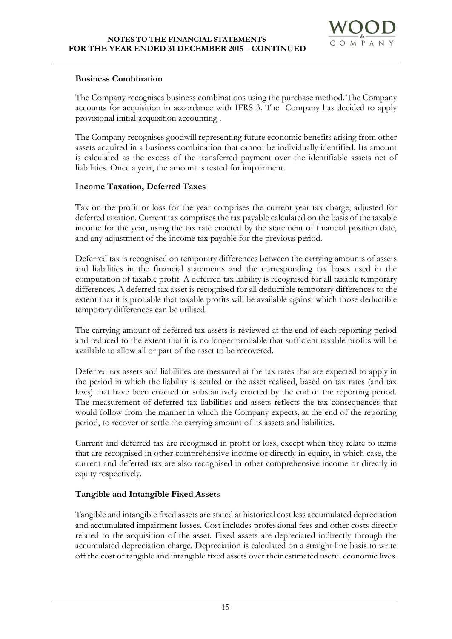

#### **Business Combination**

The Company recognises business combinations using the purchase method. The Company accounts for acquisition in accordance with IFRS 3. The Company has decided to apply provisional initial acquisition accounting .

The Company recognises goodwill representing future economic benefits arising from other assets acquired in a business combination that cannot be individually identified. Its amount is calculated as the excess of the transferred payment over the identifiable assets net of liabilities. Once a year, the amount is tested for impairment.

#### **Income Taxation, Deferred Taxes**

Tax on the profit or loss for the year comprises the current year tax charge, adjusted for deferred taxation. Current tax comprises the tax payable calculated on the basis of the taxable income for the year, using the tax rate enacted by the statement of financial position date, and any adjustment of the income tax payable for the previous period.

Deferred tax is recognised on temporary differences between the carrying amounts of assets and liabilities in the financial statements and the corresponding tax bases used in the computation of taxable profit. A deferred tax liability is recognised for all taxable temporary differences. A deferred tax asset is recognised for all deductible temporary differences to the extent that it is probable that taxable profits will be available against which those deductible temporary differences can be utilised.

The carrying amount of deferred tax assets is reviewed at the end of each reporting period and reduced to the extent that it is no longer probable that sufficient taxable profits will be available to allow all or part of the asset to be recovered.

Deferred tax assets and liabilities are measured at the tax rates that are expected to apply in the period in which the liability is settled or the asset realised, based on tax rates (and tax laws) that have been enacted or substantively enacted by the end of the reporting period. The measurement of deferred tax liabilities and assets reflects the tax consequences that would follow from the manner in which the Company expects, at the end of the reporting period, to recover or settle the carrying amount of its assets and liabilities.

Current and deferred tax are recognised in profit or loss, except when they relate to items that are recognised in other comprehensive income or directly in equity, in which case, the current and deferred tax are also recognised in other comprehensive income or directly in equity respectively.

#### **Tangible and Intangible Fixed Assets**

Tangible and intangible fixed assets are stated at historical cost less accumulated depreciation and accumulated impairment losses. Cost includes professional fees and other costs directly related to the acquisition of the asset. Fixed assets are depreciated indirectly through the accumulated depreciation charge. Depreciation is calculated on a straight line basis to write off the cost of tangible and intangible fixed assets over their estimated useful economic lives.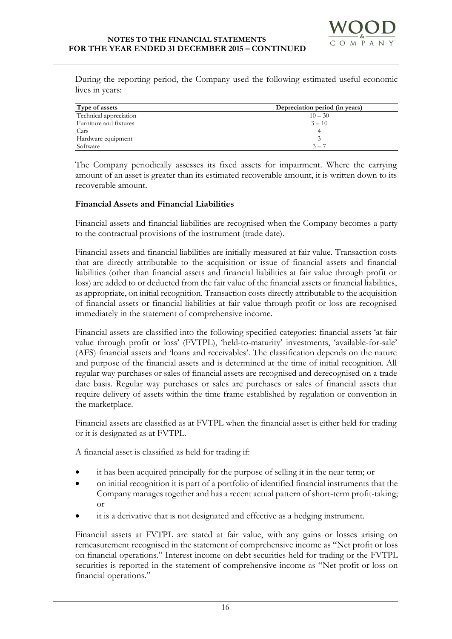During the reporting period, the Company used the following estimated useful economic lives in years:

| Type of assets         | Depreciation period (in years) |
|------------------------|--------------------------------|
| Technical appreciation | $10 - 30$                      |
| Furniture and fixtures | $3 - 10$                       |
| Cars                   |                                |
| Hardware equipment     |                                |
| Software               | $-3-7$                         |

The Company periodically assesses its fixed assets for impairment. Where the carrying amount of an asset is greater than its estimated recoverable amount, it is written down to its recoverable amount.

#### **Financial Assets and Financial Liabilities**

Financial assets and financial liabilities are recognised when the Company becomes a party to the contractual provisions of the instrument (trade date).

Financial assets and financial liabilities are initially measured at fair value. Transaction costs that are directly attributable to the acquisition or issue of financial assets and financial liabilities (other than financial assets and financial liabilities at fair value through profit or loss) are added to or deducted from the fair value of the financial assets or financial liabilities, as appropriate, on initial recognition. Transaction costs directly attributable to the acquisition of financial assets or financial liabilities at fair value through profit or loss are recognised immediately in the statement of comprehensive income.

Financial assets are classified into the following specified categories: financial assets 'at fair value through profit or loss' (FVTPL), 'held-to-maturity' investments, 'available-for-sale' (AFS) financial assets and 'loans and receivables'. The classification depends on the nature and purpose of the financial assets and is determined at the time of initial recognition. All regular way purchases or sales of financial assets are recognised and derecognised on a trade date basis. Regular way purchases or sales are purchases or sales of financial assets that require delivery of assets within the time frame established by regulation or convention in the marketplace.

Financial assets are classified as at FVTPL when the financial asset is either held for trading or it is designated as at FVTPL.

A financial asset is classified as held for trading if:

- it has been acquired principally for the purpose of selling it in the near term; or
- on initial recognition it is part of a portfolio of identified financial instruments that the Company manages together and has a recent actual pattern of short-term profit-taking; or
- it is a derivative that is not designated and effective as a hedging instrument.

Financial assets at FVTPL are stated at fair value, with any gains or losses arising on remeasurement recognised in the statement of comprehensive income as "Net profit or loss on financial operations." Interest income on debt securities held for trading or the FVTPL securities is reported in the statement of comprehensive income as "Net profit or loss on financial operations."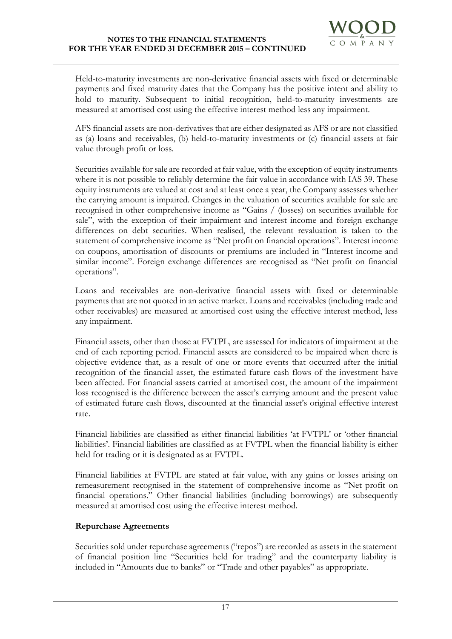

Held-to-maturity investments are non-derivative financial assets with fixed or determinable payments and fixed maturity dates that the Company has the positive intent and ability to hold to maturity. Subsequent to initial recognition, held-to-maturity investments are measured at amortised cost using the effective interest method less any impairment.

AFS financial assets are non-derivatives that are either designated as AFS or are not classified as (a) loans and receivables, (b) held-to-maturity investments or (c) financial assets at fair value through profit or loss.

Securities available for sale are recorded at fair value, with the exception of equity instruments where it is not possible to reliably determine the fair value in accordance with IAS 39. These equity instruments are valued at cost and at least once a year, the Company assesses whether the carrying amount is impaired. Changes in the valuation of securities available for sale are recognised in other comprehensive income as "Gains / (losses) on securities available for sale", with the exception of their impairment and interest income and foreign exchange differences on debt securities. When realised, the relevant revaluation is taken to the statement of comprehensive income as "Net profit on financial operations". Interest income on coupons, amortisation of discounts or premiums are included in "Interest income and similar income". Foreign exchange differences are recognised as "Net profit on financial operations".

Loans and receivables are non-derivative financial assets with fixed or determinable payments that are not quoted in an active market. Loans and receivables (including trade and other receivables) are measured at amortised cost using the effective interest method, less any impairment.

Financial assets, other than those at FVTPL, are assessed for indicators of impairment at the end of each reporting period. Financial assets are considered to be impaired when there is objective evidence that, as a result of one or more events that occurred after the initial recognition of the financial asset, the estimated future cash flows of the investment have been affected. For financial assets carried at amortised cost, the amount of the impairment loss recognised is the difference between the asset's carrying amount and the present value of estimated future cash flows, discounted at the financial asset's original effective interest rate.

Financial liabilities are classified as either financial liabilities 'at FVTPL' or 'other financial liabilities'. Financial liabilities are classified as at FVTPL when the financial liability is either held for trading or it is designated as at FVTPL.

Financial liabilities at FVTPL are stated at fair value, with any gains or losses arising on remeasurement recognised in the statement of comprehensive income as "Net profit on financial operations." Other financial liabilities (including borrowings) are subsequently measured at amortised cost using the effective interest method.

#### **Repurchase Agreements**

Securities sold under repurchase agreements ("repos") are recorded as assets in the statement of financial position line "Securities held for trading" and the counterparty liability is included in "Amounts due to banks" or "Trade and other payables" as appropriate.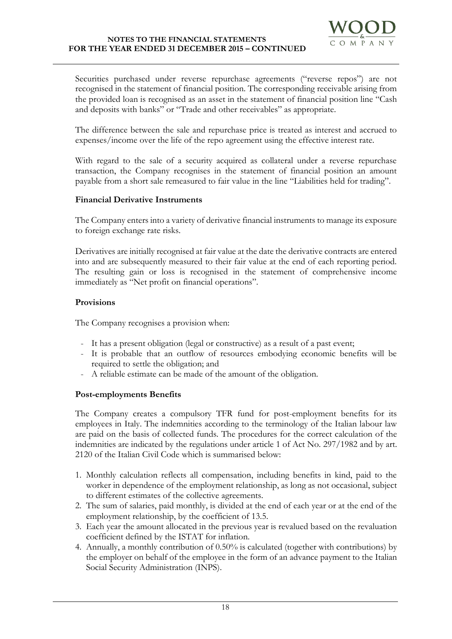

Securities purchased under reverse repurchase agreements ("reverse repos") are not recognised in the statement of financial position. The corresponding receivable arising from the provided loan is recognised as an asset in the statement of financial position line "Cash and deposits with banks" or "Trade and other receivables" as appropriate.

The difference between the sale and repurchase price is treated as interest and accrued to expenses/income over the life of the repo agreement using the effective interest rate.

With regard to the sale of a security acquired as collateral under a reverse repurchase transaction, the Company recognises in the statement of financial position an amount payable from a short sale remeasured to fair value in the line "Liabilities held for trading".

#### **Financial Derivative Instruments**

The Company enters into a variety of derivative financial instruments to manage its exposure to foreign exchange rate risks.

Derivatives are initially recognised at fair value at the date the derivative contracts are entered into and are subsequently measured to their fair value at the end of each reporting period. The resulting gain or loss is recognised in the statement of comprehensive income immediately as "Net profit on financial operations".

#### **Provisions**

The Company recognises a provision when:

- It has a present obligation (legal or constructive) as a result of a past event;
- It is probable that an outflow of resources embodying economic benefits will be required to settle the obligation; and
- A reliable estimate can be made of the amount of the obligation.

#### **Post-employments Benefits**

The Company creates a compulsory TFR fund for post-employment benefits for its employees in Italy. The indemnities according to the terminology of the Italian labour law are paid on the basis of collected funds. The procedures for the correct calculation of the indemnities are indicated by the regulations under article 1 of Act No. 297/1982 and by art. 2120 of the Italian Civil Code which is summarised below:

- 1. Monthly calculation reflects all compensation, including benefits in kind, paid to the worker in dependence of the employment relationship, as long as not occasional, subject to different estimates of the collective agreements.
- 2. The sum of salaries, paid monthly, is divided at the end of each year or at the end of the employment relationship, by the coefficient of 13.5.
- 3. Each year the amount allocated in the previous year is revalued based on the revaluation coefficient defined by the ISTAT for inflation.
- 4. Annually, a monthly contribution of 0.50% is calculated (together with contributions) by the employer on behalf of the employee in the form of an advance payment to the Italian Social Security Administration (INPS).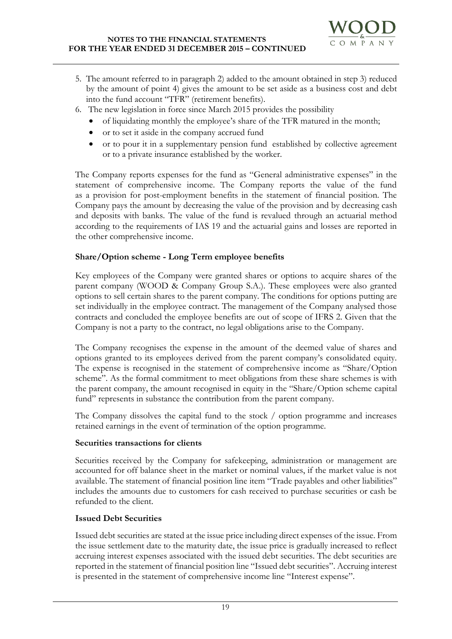

- 5. The amount referred to in paragraph 2) added to the amount obtained in step 3) reduced by the amount of point 4) gives the amount to be set aside as a business cost and debt into the fund account "TFR" (retirement benefits).
- 6. The new legislation in force since March 2015 provides the possibility
	- of liquidating monthly the employee's share of the TFR matured in the month;
	- or to set it aside in the company accrued fund
	- or to pour it in a supplementary pension fund established by collective agreement or to a private insurance established by the worker.

The Company reports expenses for the fund as "General administrative expenses" in the statement of comprehensive income. The Company reports the value of the fund as a provision for post-employment benefits in the statement of financial position. The Company pays the amount by decreasing the value of the provision and by decreasing cash and deposits with banks. The value of the fund is revalued through an actuarial method according to the requirements of IAS 19 and the actuarial gains and losses are reported in the other comprehensive income.

#### **Share/Option scheme - Long Term employee benefits**

Key employees of the Company were granted shares or options to acquire shares of the parent company (WOOD & Company Group S.A.). These employees were also granted options to sell certain shares to the parent company. The conditions for options putting are set individually in the employee contract. The management of the Company analysed those contracts and concluded the employee benefits are out of scope of IFRS 2. Given that the Company is not a party to the contract, no legal obligations arise to the Company.

The Company recognises the expense in the amount of the deemed value of shares and options granted to its employees derived from the parent company's consolidated equity. The expense is recognised in the statement of comprehensive income as "Share/Option scheme". As the formal commitment to meet obligations from these share schemes is with the parent company, the amount recognised in equity in the "Share/Option scheme capital fund" represents in substance the contribution from the parent company.

The Company dissolves the capital fund to the stock / option programme and increases retained earnings in the event of termination of the option programme.

#### **Securities transactions for clients**

Securities received by the Company for safekeeping, administration or management are accounted for off balance sheet in the market or nominal values, if the market value is not available. The statement of financial position line item "Trade payables and other liabilities" includes the amounts due to customers for cash received to purchase securities or cash be refunded to the client.

#### **Issued Debt Securities**

Issued debt securities are stated at the issue price including direct expenses of the issue. From the issue settlement date to the maturity date, the issue price is gradually increased to reflect accruing interest expenses associated with the issued debt securities. The debt securities are reported in the statement of financial position line "Issued debt securities". Accruing interest is presented in the statement of comprehensive income line "Interest expense".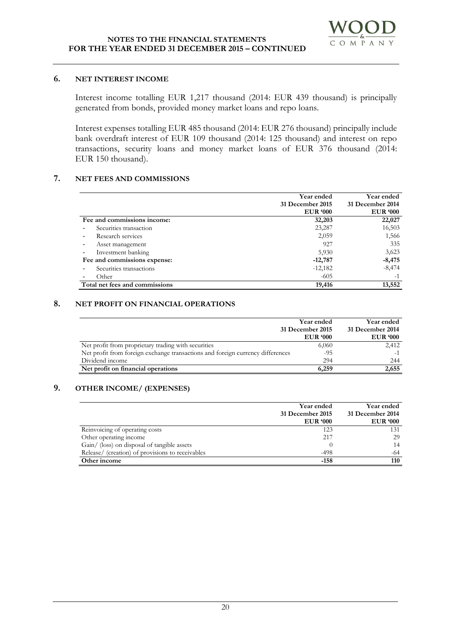

#### <span id="page-22-0"></span>**6. NET INTEREST INCOME**

Interest income totalling EUR 1,217 thousand (2014: EUR 439 thousand) is principally generated from bonds, provided money market loans and repo loans.

Interest expenses totalling EUR 485 thousand (2014: EUR 276 thousand) principally include bank overdraft interest of EUR 109 thousand (2014: 125 thousand) and interest on repo transactions, security loans and money market loans of EUR 376 thousand (2014: EUR 150 thousand).

#### <span id="page-22-1"></span>**7. NET FEES AND COMMISSIONS**

|                                | Year ended       | Year ended       |
|--------------------------------|------------------|------------------|
|                                | 31 December 2015 | 31 December 2014 |
|                                | <b>EUR</b> '000  | <b>EUR</b> '000  |
| Fee and commissions income:    | 32,203           | 22,027           |
| Securities transaction         | 23,287           | 16,503           |
| Research services              | 2,059            | 1,566            |
| Asset management               | 927              | 335              |
| Investment banking             | 5,930            | 3,623            |
| Fee and commissions expense:   | $-12,787$        | $-8,475$         |
| Securities transactions        | $-12,182$        | $-8,474$         |
| Other                          | $-605$           | $-1$             |
| Total net fees and commissions | 19,416           | 13,552           |

#### **8. NET PROFIT ON FINANCIAL OPERATIONS**

|                                                                                | Year ended       | Year ended       |
|--------------------------------------------------------------------------------|------------------|------------------|
|                                                                                | 31 December 2015 | 31 December 2014 |
|                                                                                | <b>EUR</b> '000  | <b>EUR</b> '000  |
| Net profit from proprietary trading with securities                            | 6,060            | 2,412            |
| Net profit from foreign exchange transactions and foreign currency differences | -95              | $-1$             |
| Dividend income                                                                | 294              | 244              |
| Net profit on financial operations                                             | 6,259            | 2,655            |

#### **9. OTHER INCOME/ (EXPENSES)**

|                                                  | Year ended<br>31 December 2015<br><b>EUR</b> '000 | <b>Year ended</b><br>31 December 2014<br><b>EUR</b> '000 |
|--------------------------------------------------|---------------------------------------------------|----------------------------------------------------------|
| Reinvoicing of operating costs                   | 123                                               | 131                                                      |
| Other operating income                           | 217                                               | 29                                                       |
| Gain/ (loss) on disposal of tangible assets      | $\theta$                                          | 14                                                       |
| Release/ (creation) of provisions to receivables | -498                                              | -64                                                      |
| Other income                                     | $-158$                                            | 110                                                      |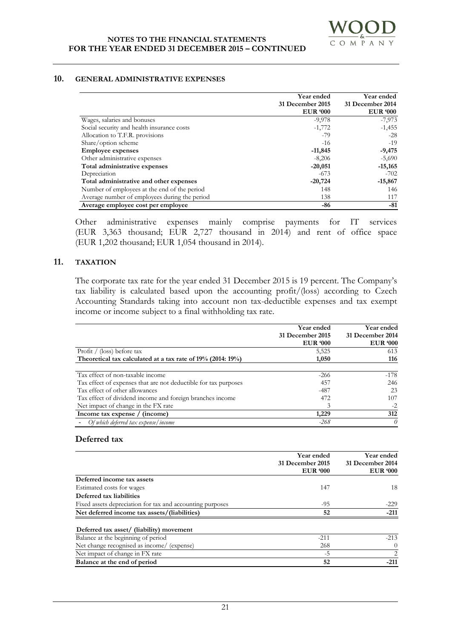#### **10. GENERAL ADMINISTRATIVE EXPENSES**

|                                               | Year ended<br>31 December 2015<br><b>EUR</b> '000 | Year ended<br>31 December 2014<br><b>EUR</b> '000 |
|-----------------------------------------------|---------------------------------------------------|---------------------------------------------------|
| Wages, salaries and bonuses                   | $-9,978$                                          | $-7,973$                                          |
| Social security and health insurance costs    | $-1,772$                                          | $-1,455$                                          |
| Allocation to T.F.R. provisions               | -79                                               | $-28$                                             |
| Share/option scheme                           | $-16$                                             | $-19$                                             |
| <b>Employee expenses</b>                      | $-11,845$                                         | $-9,475$                                          |
| Other administrative expenses                 | $-8,206$                                          | $-5,690$                                          |
| Total administrative expenses                 | $-20,051$                                         | $-15,165$                                         |
| Depreciation                                  | $-673$                                            | $-702$                                            |
| Total administrative and other expenses       | $-20,724$                                         | $-15,867$                                         |
| Number of employees at the end of the period  | 148                                               | 146                                               |
| Average number of employees during the period | 138                                               | 117                                               |
| Average employee cost per employee            | -86                                               | $-81$                                             |

Other administrative expenses mainly comprise payments for IT services (EUR 3,363 thousand; EUR 2,727 thousand in 2014) and rent of office space (EUR 1,202 thousand; EUR 1,054 thousand in 2014).

#### **11. TAXATION**

The corporate tax rate for the year ended 31 December 2015 is 19 percent. The Company's tax liability is calculated based upon the accounting profit/(loss) according to Czech Accounting Standards taking into account non tax-deductible expenses and tax exempt income or income subject to a final withholding tax rate.

|                                                                 | Year ended<br>31 December 2015<br><b>EUR</b> '000 | Year ended<br>31 December 2014<br><b>EUR '000</b> |
|-----------------------------------------------------------------|---------------------------------------------------|---------------------------------------------------|
| Profit / (loss) before tax                                      | 5,525                                             | 613                                               |
| Theoretical tax calculated at a tax rate of 19% (2014: 19%)     | 1,050                                             | 116                                               |
| Tax effect of non-taxable income                                | $-266$                                            | $-178$                                            |
| Tax effect of expenses that are not deductible for tax purposes | 457                                               | 246                                               |
| Tax effect of other allowances                                  | $-487$                                            | 23                                                |
| Tax effect of dividend income and foreign branches income       | 472                                               | 107                                               |
| Net impact of change in the FX rate                             | 3                                                 | $-2$                                              |
| Income tax expense / (income)                                   | 1,229                                             | 312                                               |
| - Of which deferred tax expense/income                          | $-268$                                            | $\theta$                                          |

#### **Deferred tax**

|                                                           | <b>Year ended</b><br>31 December 2015 | <b>Year ended</b><br>31 December 2014 |
|-----------------------------------------------------------|---------------------------------------|---------------------------------------|
|                                                           | <b>EUR</b> '000                       | <b>EUR '000</b>                       |
| Deferred income tax assets                                |                                       |                                       |
| Estimated costs for wages                                 | 147                                   | 18                                    |
| Deferred tax liabilities                                  |                                       |                                       |
| Fixed assets depreciation for tax and accounting purposes | -95                                   | $-229$                                |
| Net deferred income tax assets/(liabilities)              | 52                                    | $-211$                                |
| Deferred tax asset/ (liability) movement                  |                                       |                                       |
| Balance at the beginning of period                        | $-211$                                | $-213$                                |
| Net change recognised as income/ (expense)                | 268                                   | $\Omega$                              |
| Net impact of change in FX rate                           | $-5$                                  |                                       |
| Balance at the end of period                              | 52                                    | $-211$                                |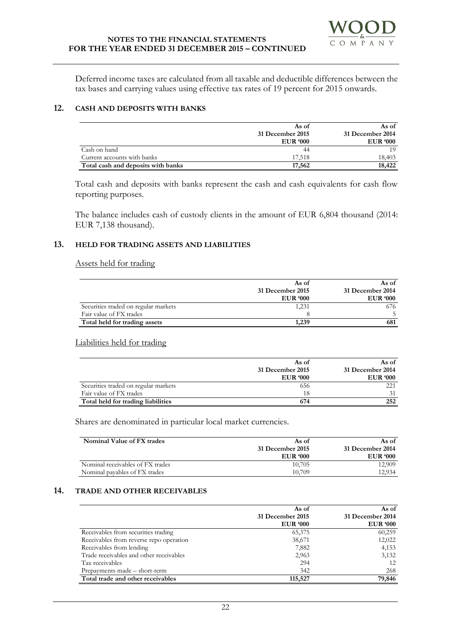

Deferred income taxes are calculated from all taxable and deductible differences between the tax bases and carrying values using effective tax rates of 19 percent for 2015 onwards.

#### **12. CASH AND DEPOSITS WITH BANKS**

|                                    | As of<br>31 December 2015 | As of<br>31 December 2014 |
|------------------------------------|---------------------------|---------------------------|
|                                    | <b>EUR '000</b>           | <b>EUR</b> '000           |
| Cash on hand                       | 44                        | 10                        |
| Current accounts with banks        | 17.518                    | 18,403                    |
| Total cash and deposits with banks | 17,562                    | 18,422                    |

Total cash and deposits with banks represent the cash and cash equivalents for cash flow reporting purposes.

The balance includes cash of custody clients in the amount of EUR 6,804 thousand (2014: EUR 7,138 thousand).

#### **13. HELD FOR TRADING ASSETS AND LIABILITIES**

#### Assets held for trading

|                                      | As of            | As of            |
|--------------------------------------|------------------|------------------|
|                                      | 31 December 2015 | 31 December 2014 |
|                                      | <b>EUR</b> '000  | <b>EUR</b> '000  |
| Securities traded on regular markets | 1,231            | 676              |
| Fair value of FX trades              |                  |                  |
| Total held for trading assets        | 1,239            | 681              |

#### Liabilities held for trading

|                                      | As of<br>31 December 2015<br><b>EUR</b> '000 | As of<br>31 December 2014<br><b>EUR</b> '000 |
|--------------------------------------|----------------------------------------------|----------------------------------------------|
| Securities traded on regular markets | 656                                          | 221                                          |
| Fair value of FX trades              | 18                                           |                                              |
| Total held for trading liabilities   | 674                                          | 252                                          |

Shares are denominated in particular local market currencies.

| Nominal Value of FX trades       | As of            | As of            |
|----------------------------------|------------------|------------------|
|                                  | 31 December 2015 | 31 December 2014 |
|                                  | <b>EUR</b> '000  | <b>EUR '000</b>  |
| Nominal receivables of FX trades | 10,705           | 12.909           |
| Nominal payables of FX trades    | 10,709           | 12.934           |

#### **14. TRADE AND OTHER RECEIVABLES**

|                                         | As of<br>31 December 2015<br><b>EUR</b> '000 | As of<br>31 December 2014<br><b>EUR</b> '000 |
|-----------------------------------------|----------------------------------------------|----------------------------------------------|
| Receivables from securities trading     | 65,375                                       | 60,259                                       |
| Receivables from reverse repo operation | 38,671                                       | 12,022                                       |
| Receivables from lending                | 7,882                                        | 4,153                                        |
| Trade receivables and other receivables | 2,963                                        | 3,132                                        |
| Tax receivables                         | 294                                          | 12                                           |
| Prepayments made – short-term           | 342                                          | 268                                          |
| Total trade and other receivables       | 115,527                                      | 79,846                                       |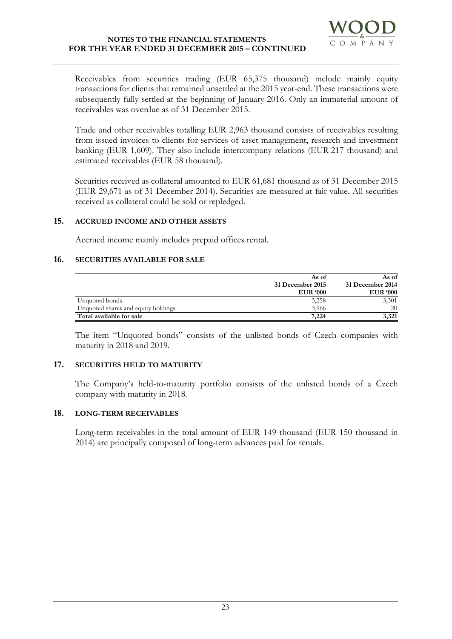

Receivables from securities trading (EUR 65,375 thousand) include mainly equity transactions for clients that remained unsettled at the 2015 year-end. These transactions were subsequently fully settled at the beginning of January 2016. Only an immaterial amount of receivables was overdue as of 31 December 2015.

Trade and other receivables totalling EUR 2,963 thousand consists of receivables resulting from issued invoices to clients for services of asset management, research and investment banking (EUR 1,609). They also include intercompany relations (EUR 217 thousand) and estimated receivables (EUR 58 thousand).

Securities received as collateral amounted to EUR 61,681 thousand as of 31 December 2015 (EUR 29,671 as of 31 December 2014). Securities are measured at fair value. All securities received as collateral could be sold or repledged.

#### **15. ACCRUED INCOME AND OTHER ASSETS**

Accrued income mainly includes prepaid offices rental.

#### **16. SECURITIES AVAILABLE FOR SALE**

|                                     | As of            | As of            |
|-------------------------------------|------------------|------------------|
|                                     | 31 December 2015 | 31 December 2014 |
|                                     | <b>EUR</b> '000  | <b>EUR</b> '000  |
| Unquoted bonds                      | 3,258            | 3,301            |
| Unquoted shares and equity holdings | 3.966            | 20               |
| Total available for sale            | 7,224            | 3,321            |

The item "Unquoted bonds" consists of the unlisted bonds of Czech companies with maturity in 2018 and 2019.

#### **17. SECURITIES HELD TO MATURITY**

The Company's held-to-maturity portfolio consists of the unlisted bonds of a Czech company with maturity in 2018.

#### **18. LONG-TERM RECEIVABLES**

Long-term receivables in the total amount of EUR 149 thousand (EUR 150 thousand in 2014) are principally composed of long-term advances paid for rentals.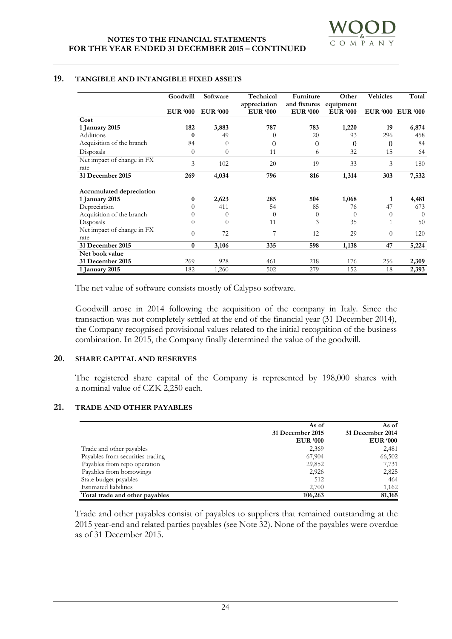

#### **19. TANGIBLE AND INTANGIBLE FIXED ASSETS**

|                                    | Goodwill        | Software        | Technical<br>appreciation | Furniture<br>and fixtures | Other<br>equipment | <b>Vehicles</b> | Total                    |
|------------------------------------|-----------------|-----------------|---------------------------|---------------------------|--------------------|-----------------|--------------------------|
|                                    | <b>EUR '000</b> | <b>EUR '000</b> | <b>EUR '000</b>           | <b>EUR '000</b>           | <b>EUR '000</b>    |                 | <b>EUR '000 EUR '000</b> |
| Cost                               |                 |                 |                           |                           |                    |                 |                          |
| 1 January 2015                     | 182             | 3,883           | 787                       | 783                       | 1,220              | 19              | 6,874                    |
| Additions                          | $\bf{0}$        | 49              | $\Omega$                  | 20                        | 93                 | 296             | 458                      |
| Acquisition of the branch          | 84              | $\Omega$        | $\theta$                  | 0                         | $\theta$           | $\Omega$        | 84                       |
| Disposals                          | $\overline{0}$  | $\overline{0}$  | 11                        | 6                         | 32                 | 15              | 64                       |
| Net impact of change in FX<br>rate | 3               | 102             | 20                        | 19                        | 33                 | 3               | 180                      |
| 31 December 2015                   | 269             | 4,034           | 796                       | 816                       | 1,314              | 303             | 7,532                    |
|                                    |                 |                 |                           |                           |                    |                 |                          |
| Accumulated depreciation           |                 |                 |                           |                           |                    |                 |                          |
| 1 January 2015                     | $\bf{0}$        | 2,623           | 285                       | 504                       | 1,068              | 1               | 4,481                    |
| Depreciation                       | $\theta$        | 411             | 54                        | 85                        | 76                 | 47              | 673                      |
| Acquisition of the branch          | 0               | $\Omega$        | $\theta$                  | 0                         | $\theta$           | $\theta$        | $\Omega$                 |
| Disposals                          | $\Omega$        | $\Omega$        | 11                        | 3                         | 35                 |                 | 50                       |
| Net impact of change in FX         | $\Omega$        | 72              | 7                         | 12                        | 29                 | $\Omega$        | 120                      |
| rate                               |                 |                 |                           |                           |                    |                 |                          |
| 31 December 2015                   | $\bf{0}$        | 3,106           | 335                       | 598                       | 1,138              | 47              | 5,224                    |
| Net book value                     |                 |                 |                           |                           |                    |                 |                          |
| 31 December 2015                   | 269             | 928             | 461                       | 218                       | 176                | 256             | 2,309                    |
| 1 January 2015                     | 182             | 1,260           | 502                       | 279                       | 152                | 18              | 2,393                    |

The net value of software consists mostly of Calypso software.

Goodwill arose in 2014 following the acquisition of the company in Italy. Since the transaction was not completely settled at the end of the financial year (31 December 2014), the Company recognised provisional values related to the initial recognition of the business combination. In 2015, the Company finally determined the value of the goodwill.

#### **20. SHARE CAPITAL AND RESERVES**

The registered share capital of the Company is represented by 198,000 shares with a nominal value of CZK 2,250 each.

#### **21. TRADE AND OTHER PAYABLES**

|                                  | As of<br>31 December 2015 | As of<br>31 December 2014 |
|----------------------------------|---------------------------|---------------------------|
|                                  | <b>EUR</b> '000           | <b>EUR '000</b>           |
| Trade and other payables         | 2,369                     | 2,481                     |
| Payables from securities trading | 67,904                    | 66,502                    |
| Payables from repo operation     | 29,852                    | 7,731                     |
| Payables from borrowings         | 2,926                     | 2,825                     |
| State budget payables            | 512                       | 464                       |
| <b>Estimated</b> liabilities     | 2,700                     | 1,162                     |
| Total trade and other payables   | 106,263                   | 81,165                    |

Trade and other payables consist of payables to suppliers that remained outstanding at the 2015 year-end and related parties payables (see Note 32). None of the payables were overdue as of 31 December 2015.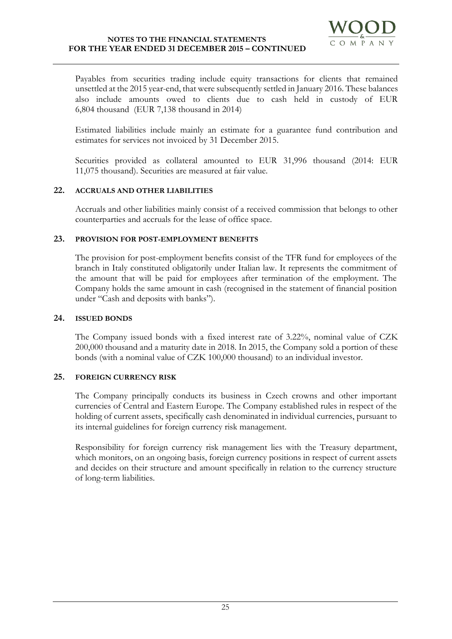

Payables from securities trading include equity transactions for clients that remained unsettled at the 2015 year-end, that were subsequently settled in January 2016. These balances also include amounts owed to clients due to cash held in custody of EUR 6,804 thousand (EUR 7,138 thousand in 2014)

Estimated liabilities include mainly an estimate for a guarantee fund contribution and estimates for services not invoiced by 31 December 2015.

Securities provided as collateral amounted to EUR 31,996 thousand (2014: EUR 11,075 thousand). Securities are measured at fair value.

#### **22. ACCRUALS AND OTHER LIABILITIES**

Accruals and other liabilities mainly consist of a received commission that belongs to other counterparties and accruals for the lease of office space.

#### **23. PROVISION FOR POST-EMPLOYMENT BENEFITS**

The provision for post-employment benefits consist of the TFR fund for employees of the branch in Italy constituted obligatorily under Italian law. It represents the commitment of the amount that will be paid for employees after termination of the employment. The Company holds the same amount in cash (recognised in the statement of financial position under "Cash and deposits with banks").

#### **24. ISSUED BONDS**

The Company issued bonds with a fixed interest rate of 3.22%, nominal value of CZK 200,000 thousand and a maturity date in 2018. In 2015, the Company sold a portion of these bonds (with a nominal value of CZK 100,000 thousand) to an individual investor.

#### **25. FOREIGN CURRENCY RISK**

The Company principally conducts its business in Czech crowns and other important currencies of Central and Eastern Europe. The Company established rules in respect of the holding of current assets, specifically cash denominated in individual currencies, pursuant to its internal guidelines for foreign currency risk management.

Responsibility for foreign currency risk management lies with the Treasury department, which monitors, on an ongoing basis, foreign currency positions in respect of current assets and decides on their structure and amount specifically in relation to the currency structure of long-term liabilities.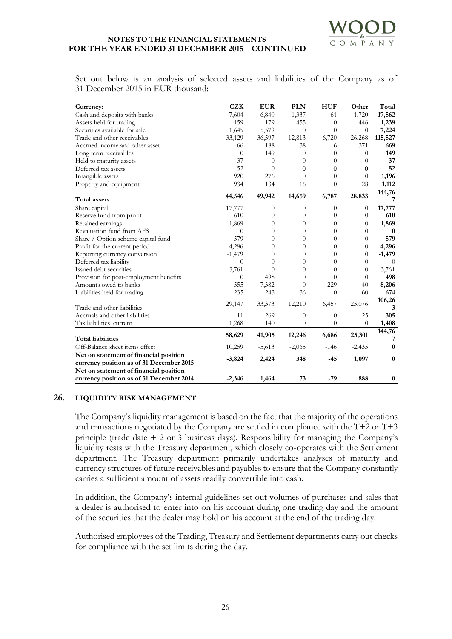

Set out below is an analysis of selected assets and liabilities of the Company as of 31 December 2015 in EUR thousand:

| Currency:                                | <b>CZK</b> | <b>EUR</b>     | <b>PLN</b>     | <b>HUF</b>       | Other        | Total          |
|------------------------------------------|------------|----------------|----------------|------------------|--------------|----------------|
| Cash and deposits with banks             | 7,604      | 6,840          | 1,337          | 61               | 1,720        | 17,562         |
| Assets held for trading                  | 159        | 179            | 455            | $\overline{0}$   | 446          | 1,239          |
| Securities available for sale            | 1,645      | 5,579          | $\theta$       | $\overline{0}$   | $\theta$     | 7,224          |
| Trade and other receivables              | 33,129     | 36,597         | 12,813         | 6,720            | 26,268       | 115,527        |
| Accrued income and other asset           | 66         | 188            | 38             | 6                | 371          | 669            |
| Long term receivables                    | $\Omega$   | 149            | $\Omega$       | $\overline{0}$   | $\Omega$     | 149            |
| Held to maturity assets                  | 37         | $\theta$       | $\theta$       | $\theta$         | $\theta$     | 37             |
| Deferred tax assets                      | 52         | $\overline{0}$ | $\overline{0}$ | $\boldsymbol{0}$ | $\mathbf{0}$ | 52             |
| Intangible assets                        | 920        | 276            | $\theta$       | $\overline{0}$   | $\theta$     | 1,196          |
| Property and equipment                   | 934        | 134            | 16             | $\overline{0}$   | 28           | 1,112          |
| Total assets                             | 44,546     | 49,942         | 14,659         | 6,787            | 28,833       | 144,76<br>7    |
| Share capital                            | 17,777     | $\theta$       | $\theta$       | $\overline{0}$   | $\theta$     | 17,777         |
| Reserve fund from profit                 | 610        | $\Omega$       | $\Omega$       | $\overline{0}$   | $\Omega$     | 610            |
| Retained earnings                        | 1,869      | $\theta$       | $\theta$       | $\overline{0}$   | $\Omega$     | 1,869          |
| Revaluation fund from AFS                | $\Omega$   | $\theta$       | $\theta$       | $\theta$         | $\Omega$     | $\bf{0}$       |
| Share / Option scheme capital fund       | 579        | $\theta$       | $\Omega$       | $\theta$         | $\Omega$     | 579            |
| Profit for the current period            | 4,296      | $\theta$       | $\theta$       | $\theta$         | $\Omega$     | 4,296          |
| Reporting currency conversion            | $-1,479$   | $\theta$       | $\theta$       | $\theta$         | $\theta$     | $-1,479$       |
| Deferred tax liability                   | $\theta$   | $\Omega$       | $\theta$       | $\theta$         | $\Omega$     | $\Omega$       |
| Issued debt securities                   | 3,761      | $\Omega$       | $\theta$       | $\theta$         | $\Omega$     | 3,761          |
| Provision for post-employment benefits   | $\Omega$   | 498            | $\theta$       | $\theta$         | $\Omega$     | 498            |
| Amounts owed to banks                    | 555        | 7,382          | $\theta$       | 229              | 40           | 8,206          |
| Liabilities held for trading             | 235        | 243            | 36             | $\theta$         | 160          | 674            |
| Trade and other liabilities              | 29,147     | 33,373         | 12,210         | 6,457            | 25,076       | 106,26<br>3    |
| Accruals and other liabilities           | 11         | 269            | $\theta$       | $\overline{0}$   | 25           | 305            |
| Tax liabilities, current                 | 1,268      | 140            | $\Omega$       | $\theta$         | $\Omega$     | 1,408          |
| <b>Total liabilities</b>                 | 58,629     | 41,905         | 12,246         | 6,686            | 25,301       | 144,76<br>7    |
| Off-Balance sheet items effect           | 10,259     | $-5,613$       | $-2,065$       | $-146$           | $-2,435$     | $\overline{0}$ |
| Net on statement of financial position   |            |                |                |                  |              |                |
| currency position as of 31 December 2015 | $-3,824$   | 2,424          | 348            | $-45$            | 1,097        | $\bf{0}$       |
| Net on statement of financial position   |            |                |                |                  |              |                |
| currency position as of 31 December 2014 | $-2,346$   | 1,464          | 73             | $-79$            | 888          | $\bf{0}$       |

#### **26. LIQUIDITY RISK MANAGEMENT**

The Company's liquidity management is based on the fact that the majority of the operations and transactions negotiated by the Company are settled in compliance with the T+2 or T+3 principle (trade date + 2 or 3 business days). Responsibility for managing the Company's liquidity rests with the Treasury department, which closely co-operates with the Settlement department. The Treasury department primarily undertakes analyses of maturity and currency structures of future receivables and payables to ensure that the Company constantly carries a sufficient amount of assets readily convertible into cash.

In addition, the Company's internal guidelines set out volumes of purchases and sales that a dealer is authorised to enter into on his account during one trading day and the amount of the securities that the dealer may hold on his account at the end of the trading day.

Authorised employees of the Trading, Treasury and Settlement departments carry out checks for compliance with the set limits during the day.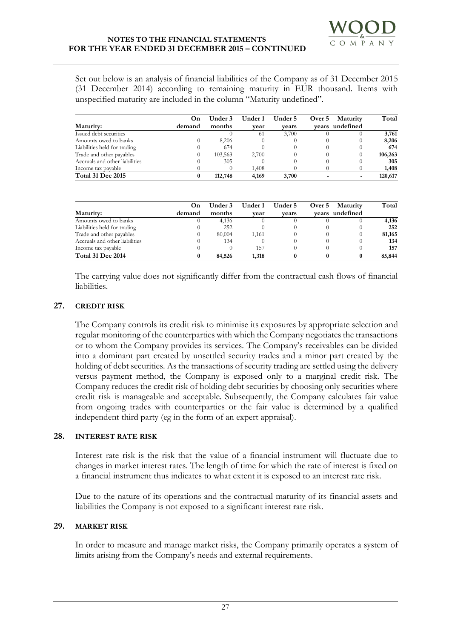

Set out below is an analysis of financial liabilities of the Company as of 31 December 2015 (31 December 2014) according to remaining maturity in EUR thousand. Items with unspecified maturity are included in the column "Maturity undefined".

|                                | On     | Under 3 | Under 1 | Under 5 | Over 5 | Maturity  | Total   |
|--------------------------------|--------|---------|---------|---------|--------|-----------|---------|
| Maturity:                      | demand | months  | vear    | vears   | vears  | undefined |         |
| Issued debt securities         |        |         | -61     | 3,700   |        |           | 3,761   |
| Amounts owed to banks          |        | 8,206   |         |         |        |           | 8,206   |
| Liabilities held for trading   |        | 674     |         |         |        |           | 674     |
| Trade and other payables       |        | 103,563 | 2,700   |         |        |           | 106,263 |
| Accruals and other liabilities |        | 305     |         |         |        |           | 305     |
| Income tax payable             |        |         | 1.408   |         |        |           | 1,408   |
| <b>Total 31 Dec 2015</b>       |        | 112,748 | 4.169   | 3,700   |        |           | 120,617 |

|                                | On     | Under 3 | Under 1 | Under 5 | Over 5 | Maturity        | Total  |
|--------------------------------|--------|---------|---------|---------|--------|-----------------|--------|
| Maturity:                      | demand | months  | vear    | vears   |        | vears undefined |        |
| Amounts owed to banks          |        | 4.136   |         |         |        |                 | 4,136  |
| Liabilities held for trading   |        | 252     |         |         |        |                 | 252    |
| Trade and other payables       |        | 80,004  | 1.161   |         |        |                 | 81,165 |
| Accruals and other liabilities |        | 134     |         |         |        |                 | 134    |
| Income tax payable             |        |         | 157     |         |        |                 | 157    |
| <b>Total 31 Dec 2014</b>       |        | 84,526  | 1.318   |         |        |                 | 85,844 |

The carrying value does not significantly differ from the contractual cash flows of financial liabilities.

#### **27. CREDIT RISK**

The Company controls its credit risk to minimise its exposures by appropriate selection and regular monitoring of the counterparties with which the Company negotiates the transactions or to whom the Company provides its services. The Company's receivables can be divided into a dominant part created by unsettled security trades and a minor part created by the holding of debt securities. As the transactions of security trading are settled using the delivery versus payment method, the Company is exposed only to a marginal credit risk. The Company reduces the credit risk of holding debt securities by choosing only securities where credit risk is manageable and acceptable. Subsequently, the Company calculates fair value from ongoing trades with counterparties or the fair value is determined by a qualified independent third party (eg in the form of an expert appraisal).

#### **28. INTEREST RATE RISK**

Interest rate risk is the risk that the value of a financial instrument will fluctuate due to changes in market interest rates. The length of time for which the rate of interest is fixed on a financial instrument thus indicates to what extent it is exposed to an interest rate risk.

Due to the nature of its operations and the contractual maturity of its financial assets and liabilities the Company is not exposed to a significant interest rate risk.

#### **29. MARKET RISK**

In order to measure and manage market risks, the Company primarily operates a system of limits arising from the Company's needs and external requirements.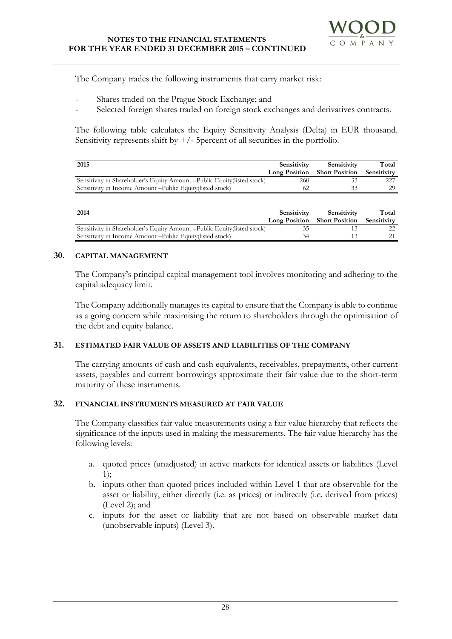

The Company trades the following instruments that carry market risk:

- Shares traded on the Prague Stock Exchange; and
- Selected foreign shares traded on foreign stock exchanges and derivatives contracts.

The following table calculates the Equity Sensitivity Analysis (Delta) in EUR thousand. Sensitivity represents shift by  $+/-$  5percent of all securities in the portfolio.

| 2015                                                                      | Sensitivity | Sensitivity<br>Long Position Short Position Sensitivity | Total |
|---------------------------------------------------------------------------|-------------|---------------------------------------------------------|-------|
| Sensitivity in Shareholder's Equity Amount - Public Equity (listed stock) | 260         |                                                         |       |
| Sensitivity in Income Amount – Public Equity (listed stock)               |             |                                                         |       |

| 2014                                                                      | Sensitivity | Sensitivity                              | Total |
|---------------------------------------------------------------------------|-------------|------------------------------------------|-------|
|                                                                           |             | Long Position Short Position Sensitivity |       |
| Sensitivity in Shareholder's Equity Amount - Public Equity (listed stock) |             |                                          |       |
| Sensitivity in Income Amount - Public Equity (listed stock)               | 34          |                                          |       |

#### **30. CAPITAL MANAGEMENT**

The Company's principal capital management tool involves monitoring and adhering to the capital adequacy limit.

The Company additionally manages its capital to ensure that the Company is able to continue as a going concern while maximising the return to shareholders through the optimisation of the debt and equity balance.

#### **31. ESTIMATED FAIR VALUE OF ASSETS AND LIABILITIES OF THE COMPANY**

The carrying amounts of cash and cash equivalents, receivables, prepayments, other current assets, payables and current borrowings approximate their fair value due to the short-term maturity of these instruments.

#### **32. FINANCIAL INSTRUMENTS MEASURED AT FAIR VALUE**

The Company classifies fair value measurements using a fair value hierarchy that reflects the significance of the inputs used in making the measurements. The fair value hierarchy has the following levels:

- a. quoted prices (unadjusted) in active markets for identical assets or liabilities (Level 1);
- b. inputs other than quoted prices included within Level 1 that are observable for the asset or liability, either directly (i.e. as prices) or indirectly (i.e. derived from prices) (Level 2); and
- c. inputs for the asset or liability that are not based on observable market data (unobservable inputs) (Level 3).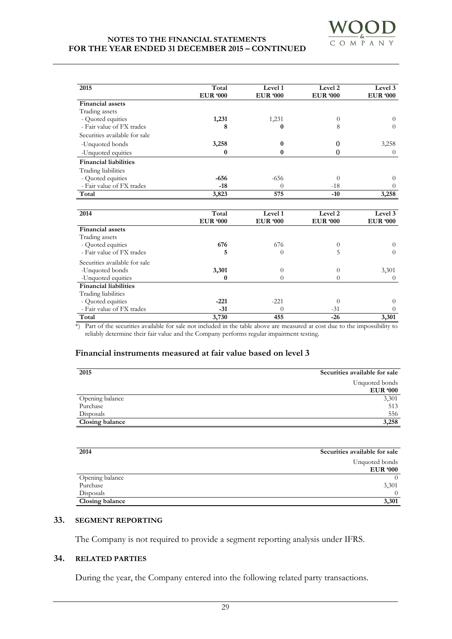#### **NOTES TO THE FINANCIAL STATEMENTS FOR THE YEAR ENDED 31 DECEMBER 2015 – CONTINUED**



| 2015                          | Total           | Level 1         | Level <sub>2</sub> | Level 3         |
|-------------------------------|-----------------|-----------------|--------------------|-----------------|
|                               | <b>EUR '000</b> | <b>EUR '000</b> | <b>EUR '000</b>    | <b>EUR '000</b> |
| <b>Financial assets</b>       |                 |                 |                    |                 |
| Trading assets                |                 |                 |                    |                 |
| - Quoted equities             | 1,231           | 1,231           | $\overline{0}$     | $\theta$        |
| - Fair value of FX trades     | 8               | $\bf{0}$        | 8                  | $\Omega$        |
| Securities available for sale |                 |                 |                    |                 |
| -Unquoted bonds               | 3,258           | $\mathbf{0}$    | $\mathbf{0}$       | 3,258           |
| -Unquoted equities            | $\bf{0}$        | $\bf{0}$        | $\theta$           | $\overline{0}$  |
| <b>Financial liabilities</b>  |                 |                 |                    |                 |
| Trading liabilities           |                 |                 |                    |                 |
| - Quoted equities             | $-656$          | $-656$          | $\theta$           | $\theta$        |
| - Fair value of FX trades     | $-18$           | $\Omega$        | $-18$              | $\Omega$        |
| Total                         | 3,823           | 575             | $-10$              | 3,258           |
|                               |                 |                 |                    |                 |
| 2014                          | Total           | Level 1         | Level <sub>2</sub> | Level 3         |
|                               | <b>EUR '000</b> | <b>EUR '000</b> | <b>EUR '000</b>    | <b>EUR '000</b> |
| <b>Financial assets</b>       |                 |                 |                    |                 |
| Trading assets                |                 |                 |                    |                 |
| - Quoted equities             | 676             | 676             | $\overline{0}$     | $\Omega$        |
| - Fair value of FX trades     | 5               | $\theta$        | 5                  | $\Omega$        |
| Securities available for sale |                 |                 |                    |                 |
| -Unquoted bonds               | 3,301           | $\theta$        | $\theta$           | 3,301           |
| -Unquoted equities            | $\bf{0}$        | $\theta$        | $\overline{0}$     | $\theta$        |
| <b>Financial liabilities</b>  |                 |                 |                    |                 |
| Trading liabilities           |                 |                 |                    |                 |
| - Quoted equities             | $-221$          | $-221$          | $\overline{0}$     | $\theta$        |
| - Fair value of FX trades     | $-31$           | $\theta$        | $-31$              | $\Omega$        |
| Total                         | 3,730           | 455             | $-26$              | 3,301           |

\*) Part of the securities available for sale not included in the table above are measured at cost due to the impossibility to reliably determine their fair value and the Company performs regular impairment testing.

#### **Financial instruments measured at fair value based on level 3**

| 2015            | Securities available for sale |  |  |
|-----------------|-------------------------------|--|--|
|                 | Unquoted bonds                |  |  |
|                 | <b>EUR '000</b>               |  |  |
| Opening balance | 3,301                         |  |  |
| Purchase        | 513                           |  |  |
| Disposals       | 556                           |  |  |
| Closing balance | 3,258                         |  |  |

| 2014            | Securities available for sale |  |  |
|-----------------|-------------------------------|--|--|
|                 | Unquoted bonds                |  |  |
|                 | <b>EUR '000</b>               |  |  |
| Opening balance |                               |  |  |
| Purchase        | 3,301                         |  |  |
| Disposals       |                               |  |  |
| Closing balance | 3,301                         |  |  |

#### **33. SEGMENT REPORTING**

The Company is not required to provide a segment reporting analysis under IFRS.

#### **34. RELATED PARTIES**

During the year, the Company entered into the following related party transactions.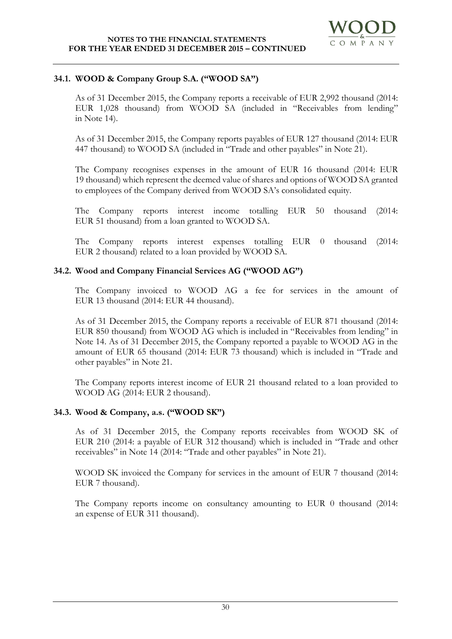

#### **34.1. WOOD & Company Group S.A. ("WOOD SA")**

As of 31 December 2015, the Company reports a receivable of EUR 2,992 thousand (2014: EUR 1,028 thousand) from WOOD SA (included in "Receivables from lending" in Note 14).

As of 31 December 2015, the Company reports payables of EUR 127 thousand (2014: EUR 447 thousand) to WOOD SA (included in "Trade and other payables" in Note 21).

The Company recognises expenses in the amount of EUR 16 thousand (2014: EUR 19 thousand) which represent the deemed value of shares and options of WOOD SA granted to employees of the Company derived from WOOD SA's consolidated equity.

The Company reports interest income totalling EUR 50 thousand (2014: EUR 51 thousand) from a loan granted to WOOD SA.

The Company reports interest expenses totalling EUR 0 thousand (2014: EUR 2 thousand) related to a loan provided by WOOD SA.

#### **34.2. Wood and Company Financial Services AG ("WOOD AG")**

The Company invoiced to WOOD AG a fee for services in the amount of EUR 13 thousand (2014: EUR 44 thousand).

As of 31 December 2015, the Company reports a receivable of EUR 871 thousand (2014: EUR 850 thousand) from WOOD AG which is included in "Receivables from lending" in Note 14. As of 31 December 2015, the Company reported a payable to WOOD AG in the amount of EUR 65 thousand (2014: EUR 73 thousand) which is included in "Trade and other payables" in Note 21.

The Company reports interest income of EUR 21 thousand related to a loan provided to WOOD AG (2014: EUR 2 thousand).

#### **34.3. Wood & Company, a.s. ("WOOD SK")**

As of 31 December 2015, the Company reports receivables from WOOD SK of EUR 210 (2014: a payable of EUR 312 thousand) which is included in "Trade and other receivables" in Note 14 (2014: "Trade and other payables" in Note 21).

WOOD SK invoiced the Company for services in the amount of EUR 7 thousand (2014: EUR 7 thousand).

The Company reports income on consultancy amounting to EUR 0 thousand (2014: an expense of EUR 311 thousand).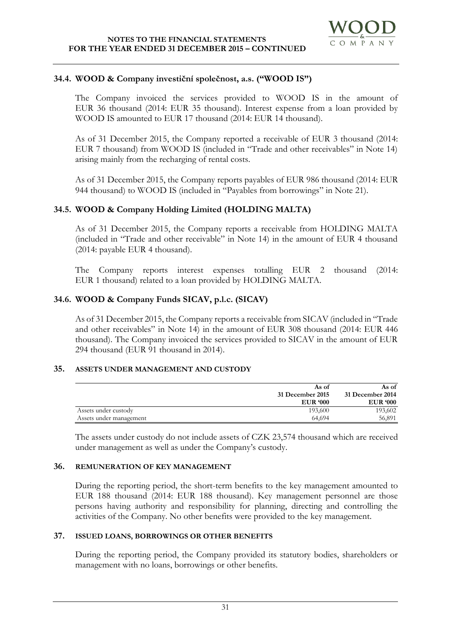

#### **34.4. WOOD & Company investiční společnost, a.s. ("WOOD IS")**

The Company invoiced the services provided to WOOD IS in the amount of EUR 36 thousand (2014: EUR 35 thousand). Interest expense from a loan provided by WOOD IS amounted to EUR 17 thousand (2014: EUR 14 thousand).

As of 31 December 2015, the Company reported a receivable of EUR 3 thousand (2014: EUR 7 thousand) from WOOD IS (included in "Trade and other receivables" in Note 14) arising mainly from the recharging of rental costs.

As of 31 December 2015, the Company reports payables of EUR 986 thousand (2014: EUR 944 thousand) to WOOD IS (included in "Payables from borrowings" in Note 21).

#### **34.5. WOOD & Company Holding Limited (HOLDING MALTA)**

As of 31 December 2015, the Company reports a receivable from HOLDING MALTA (included in "Trade and other receivable" in Note 14) in the amount of EUR 4 thousand (2014: payable EUR 4 thousand).

The Company reports interest expenses totalling EUR 2 thousand (2014: EUR 1 thousand) related to a loan provided by HOLDING MALTA.

#### **34.6. WOOD & Company Funds SICAV, p.l.c. (SICAV)**

As of 31 December 2015, the Company reports a receivable from SICAV (included in "Trade and other receivables" in Note 14) in the amount of EUR 308 thousand (2014: EUR 446 thousand). The Company invoiced the services provided to SICAV in the amount of EUR 294 thousand (EUR 91 thousand in 2014).

#### **35. ASSETS UNDER MANAGEMENT AND CUSTODY**

|                         | As of            | As of            |
|-------------------------|------------------|------------------|
|                         | 31 December 2015 | 31 December 2014 |
|                         | <b>EUR</b> '000  | <b>EUR</b> '000  |
| Assets under custody    | 193,600          | 193,602          |
| Assets under management | 64,694           | 56,891           |

The assets under custody do not include assets of CZK 23,574 thousand which are received under management as well as under the Company's custody.

#### **36. REMUNERATION OF KEY MANAGEMENT**

During the reporting period, the short-term benefits to the key management amounted to EUR 188 thousand (2014: EUR 188 thousand). Key management personnel are those persons having authority and responsibility for planning, directing and controlling the activities of the Company. No other benefits were provided to the key management.

#### **37. ISSUED LOANS, BORROWINGS OR OTHER BENEFITS**

During the reporting period, the Company provided its statutory bodies, shareholders or management with no loans, borrowings or other benefits.